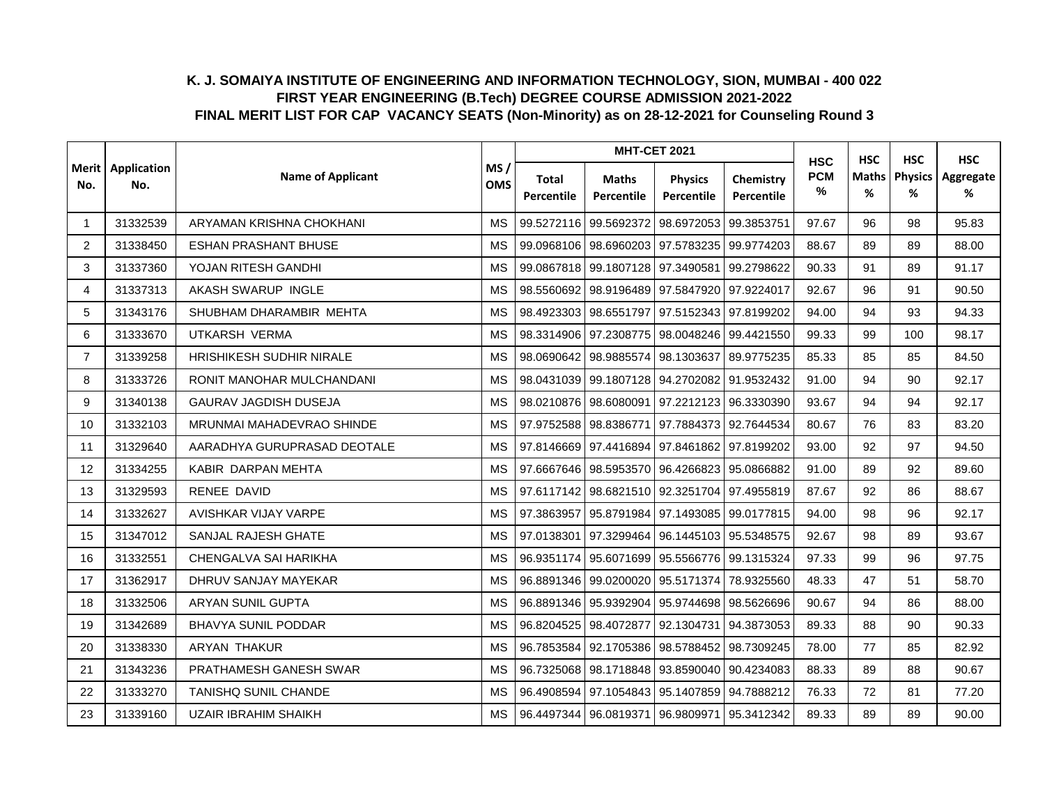|                |                    |                              |                                |                     |                            | <b>MHT-CET 2021</b>                         |                         | <b>HSC</b>      | <b>HSC</b>        | <b>HSC</b>          | <b>HSC</b>     |
|----------------|--------------------|------------------------------|--------------------------------|---------------------|----------------------------|---------------------------------------------|-------------------------|-----------------|-------------------|---------------------|----------------|
| Merit l<br>No. | Application<br>No. | <b>Name of Applicant</b>     | MS/<br><b>OMS</b><br><b>MS</b> | Total<br>Percentile | <b>Maths</b><br>Percentile | <b>Physics</b><br>Percentile                | Chemistry<br>Percentile | <b>PCM</b><br>% | <b>Maths</b><br>% | <b>Physics</b><br>% | Aggregate<br>% |
| -1             | 31332539           | ARYAMAN KRISHNA CHOKHANI     |                                | 99.5272116          | 99.5692372                 | 98.6972053 99.3853751                       |                         | 97.67           | 96                | 98                  | 95.83          |
| 2              | 31338450           | <b>ESHAN PRASHANT BHUSE</b>  | <b>MS</b>                      | 99.0968106          |                            | 98.6960203 97.5783235 99.9774203            |                         | 88.67           | 89                | 89                  | 88.00          |
| 3              | 31337360           | YOJAN RITESH GANDHI          | <b>MS</b>                      | 99.0867818          | 99.1807128                 | 97.3490581 99.2798622                       |                         | 90.33           | 91                | 89                  | 91.17          |
| 4              | 31337313           | AKASH SWARUP INGLE           | <b>MS</b>                      |                     |                            | 98.5560692 98.9196489 97.5847920 97.9224017 |                         | 92.67           | 96                | 91                  | 90.50          |
| 5              | 31343176           | SHUBHAM DHARAMBIR MEHTA      | MS                             |                     |                            | 98.4923303 98.6551797 97.5152343 97.8199202 |                         | 94.00           | 94                | 93                  | 94.33          |
| 6              | 31333670           | UTKARSH VERMA                | <b>MS</b>                      | 98.3314906          | 97.2308775                 | 98.0048246 99.4421550                       |                         | 99.33           | 99                | 100                 | 98.17          |
| $\overline{7}$ | 31339258           | HRISHIKESH SUDHIR NIRALE     | <b>MS</b>                      | 98.0690642          | 98.9885574                 | 98.1303637 89.9775235                       |                         | 85.33           | 85                | 85                  | 84.50          |
| 8              | 31333726           | RONIT MANOHAR MULCHANDANI    | <b>MS</b>                      | 98.0431039          |                            | 99.1807128 94.2702082 91.9532432            |                         | 91.00           | 94                | 90                  | 92.17          |
| 9              | 31340138           | <b>GAURAV JAGDISH DUSEJA</b> | <b>MS</b>                      | 98.0210876          | 98.6080091                 | 97.2212123 96.3330390                       |                         | 93.67           | 94                | 94                  | 92.17          |
| 10             | 31332103           | MRUNMAI MAHADEVRAO SHINDE    | <b>MS</b>                      | 97.9752588          | 98.8386771                 | 97.7884373 92.7644534                       |                         | 80.67           | 76                | 83                  | 83.20          |
| 11             | 31329640           | AARADHYA GURUPRASAD DEOTALE  | <b>MS</b>                      |                     |                            | 97.8146669 97.4416894 97.8461862 97.8199202 |                         | 93.00           | 92                | 97                  | 94.50          |
| 12             | 31334255           | KABIR DARPAN MEHTA           | MS                             |                     |                            | 97.6667646 98.5953570 96.4266823 95.0866882 |                         | 91.00           | 89                | 92                  | 89.60          |
| 13             | 31329593           | RENEE DAVID                  | <b>MS</b>                      | 97.6117142          | 98.6821510                 | 92.3251704 97.4955819                       |                         | 87.67           | 92                | 86                  | 88.67          |
| 14             | 31332627           | AVISHKAR VIJAY VARPE         | MS                             | 97.3863957          | 95.8791984                 | 97.1493085 99.0177815                       |                         | 94.00           | 98                | 96                  | 92.17          |
| 15             | 31347012           | SANJAL RAJESH GHATE          | <b>MS</b>                      | 97.0138301          | 97.3299464                 | 96.1445103 95.5348575                       |                         | 92.67           | 98                | 89                  | 93.67          |
| 16             | 31332551           | CHENGALVA SAI HARIKHA        | <b>MS</b>                      | 96.9351174          |                            | 95.6071699 95.5566776 99.1315324            |                         | 97.33           | 99                | 96                  | 97.75          |
| 17             | 31362917           | DHRUV SANJAY MAYEKAR         | MS                             | 96.8891346          | 99.0200020                 | 95.5171374                                  | 78.9325560              | 48.33           | 47                | 51                  | 58.70          |
| 18             | 31332506           | ARYAN SUNIL GUPTA            | <b>MS</b>                      |                     |                            | 96.8891346 95.9392904 95.9744698 98.5626696 |                         | 90.67           | 94                | 86                  | 88.00          |
| 19             | 31342689           | <b>BHAVYA SUNIL PODDAR</b>   | MS                             | 96.8204525          | 98.4072877                 | 92.1304731 94.3873053                       |                         | 89.33           | 88                | 90                  | 90.33          |
| 20             | 31338330           | <b>ARYAN THAKUR</b>          | <b>MS</b>                      | 96.7853584          | 92.1705386                 |                                             | 98.5788452 98.7309245   | 78.00           | 77                | 85                  | 82.92          |
| 21             | 31343236           | PRATHAMESH GANESH SWAR       | MS                             | 96.7325068          |                            | 98.1718848 93.8590040 90.4234083            |                         | 88.33           | 89                | 88                  | 90.67          |
| 22             | 31333270           | <b>TANISHQ SUNIL CHANDE</b>  | <b>MS</b>                      | 96.4908594          |                            | 97.1054843   95.1407859   94.7888212        |                         | 76.33           | 72                | 81                  | 77.20          |
| 23             | 31339160           | <b>UZAIR IBRAHIM SHAIKH</b>  | MS                             |                     |                            | 96.4497344 96.0819371 96.9809971 95.3412342 |                         | 89.33           | 89                | 89                  | 90.00          |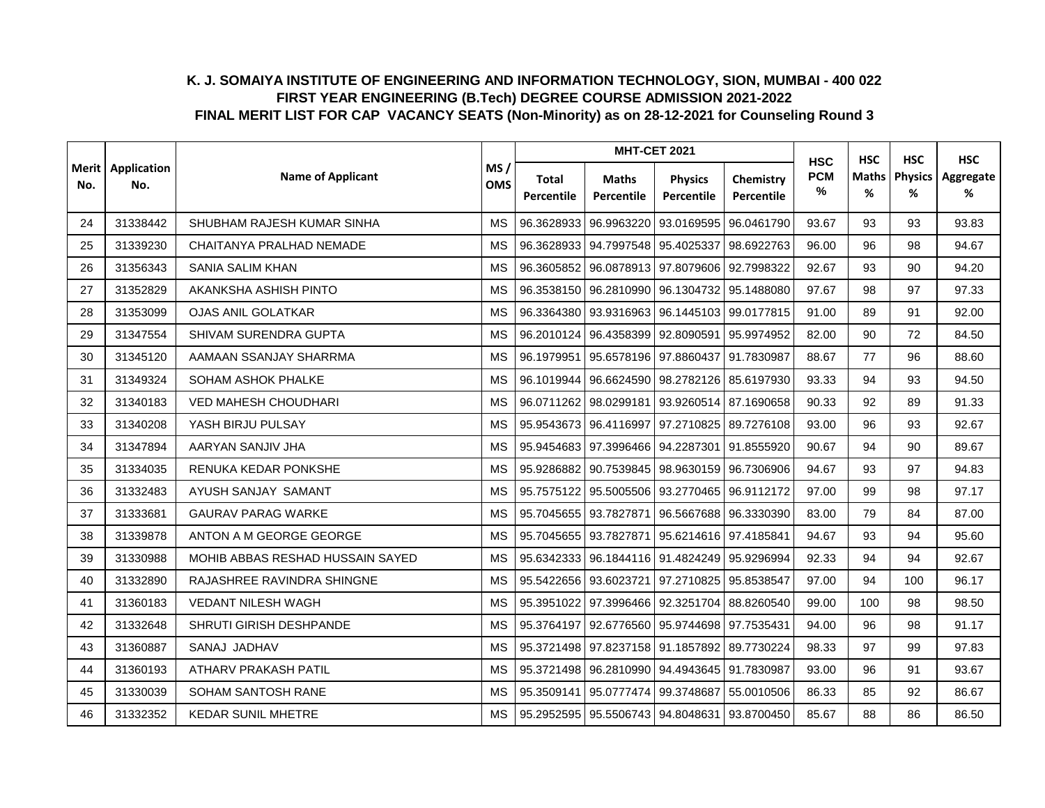|                |                    |                                  |                                |                     |                            | <b>MHT-CET 2021</b>                         |                         | <b>HSC</b>      | <b>HSC</b>        | <b>HSC</b>          | <b>HSC</b>     |
|----------------|--------------------|----------------------------------|--------------------------------|---------------------|----------------------------|---------------------------------------------|-------------------------|-----------------|-------------------|---------------------|----------------|
| Merit l<br>No. | Application<br>No. | <b>Name of Applicant</b>         | MS/<br><b>OMS</b><br><b>MS</b> | Total<br>Percentile | <b>Maths</b><br>Percentile | <b>Physics</b><br>Percentile                | Chemistry<br>Percentile | <b>PCM</b><br>% | <b>Maths</b><br>% | <b>Physics</b><br>% | Aggregate<br>% |
| 24             | 31338442           | SHUBHAM RAJESH KUMAR SINHA       |                                | 96.3628933          | 96.9963220                 | 93.0169595                                  | 96.0461790              | 93.67           | 93                | 93                  | 93.83          |
| 25             | 31339230           | CHAITANYA PRALHAD NEMADE         | <b>MS</b>                      | 96.3628933          | 94.7997548                 | 95.4025337                                  | 98.6922763              | 96.00           | 96                | 98                  | 94.67          |
| 26             | 31356343           | SANIA SALIM KHAN                 | <b>MS</b>                      | 96.3605852          | 96.0878913                 | 97.8079606 92.7998322                       |                         | 92.67           | 93                | 90                  | 94.20          |
| 27             | 31352829           | AKANKSHA ASHISH PINTO            | <b>MS</b>                      |                     |                            | 96.3538150 96.2810990 96.1304732 95.1488080 |                         | 97.67           | 98                | 97                  | 97.33          |
| 28             | 31353099           | <b>OJAS ANIL GOLATKAR</b>        | <b>MS</b>                      |                     |                            | 96.3364380 93.9316963 96.1445103 99.0177815 |                         | 91.00           | 89                | 91                  | 92.00          |
| 29             | 31347554           | SHIVAM SURENDRA GUPTA            | <b>MS</b>                      | 96.2010124          | 96.4358399                 | 92.8090591 95.9974952                       |                         | 82.00           | 90                | 72                  | 84.50          |
| 30             | 31345120           | AAMAAN SSANJAY SHARRMA           | <b>MS</b>                      | 96.1979951          | 95.6578196                 | 97.8860437                                  | 91.7830987              | 88.67           | 77                | 96                  | 88.60          |
| 31             | 31349324           | SOHAM ASHOK PHALKE               | <b>MS</b>                      | 96.1019944          | 96.6624590                 | 98.2782126 85.6197930                       |                         | 93.33           | 94                | 93                  | 94.50          |
| 32             | 31340183           | VED MAHESH CHOUDHARI             | <b>MS</b>                      | 96.0711262          | 98.0299181                 | 93.9260514 87.1690658                       |                         | 90.33           | 92                | 89                  | 91.33          |
| 33             | 31340208           | YASH BIRJU PULSAY                | <b>MS</b>                      | 95.9543673          | 96.4116997                 | 97.2710825 89.7276108                       |                         | 93.00           | 96                | 93                  | 92.67          |
| 34             | 31347894           | AARYAN SANJIV JHA                | MS                             |                     |                            | 95.9454683 97.3996466 94.2287301 91.8555920 |                         | 90.67           | 94                | 90                  | 89.67          |
| 35             | 31334035           | RENUKA KEDAR PONKSHE             | <b>MS</b>                      | 95.9286882          |                            | 90.7539845 98.9630159 96.7306906            |                         | 94.67           | 93                | 97                  | 94.83          |
| 36             | 31332483           | AYUSH SANJAY SAMANT              | MS                             | 95.7575122          | 95.5005506                 | 93.2770465 96.9112172                       |                         | 97.00           | 99                | 98                  | 97.17          |
| 37             | 31333681           | <b>GAURAV PARAG WARKE</b>        | <b>MS</b>                      | 95.7045655          | 93.7827871                 |                                             | 96.5667688 96.3330390   | 83.00           | 79                | 84                  | 87.00          |
| 38             | 31339878           | ANTON A M GEORGE GEORGE          | <b>MS</b>                      |                     | 95.7045655 93.7827871      | 95.6214616 97.4185841                       |                         | 94.67           | 93                | 94                  | 95.60          |
| 39             | 31330988           | MOHIB ABBAS RESHAD HUSSAIN SAYED | MS                             | 95.6342333          |                            | 96.1844116 91.4824249 95.9296994            |                         | 92.33           | 94                | 94                  | 92.67          |
| 40             | 31332890           | RAJASHREE RAVINDRA SHINGNE       | <b>MS</b>                      |                     | 95.5422656 93.6023721      | 97.2710825 95.8538547                       |                         | 97.00           | 94                | 100                 | 96.17          |
| 41             | 31360183           | <b>VEDANT NILESH WAGH</b>        | MS                             |                     |                            | 95.3951022 97.3996466 92.3251704 88.8260540 |                         | 99.00           | 100               | 98                  | 98.50          |
| 42             | 31332648           | SHRUTI GIRISH DESHPANDE          | <b>MS</b>                      | 95.3764197          | 92.6776560                 | 95.9744698 97.7535431                       |                         | 94.00           | 96                | 98                  | 91.17          |
| 43             | 31360887           | SANAJ JADHAV                     | <b>MS</b>                      | 95.3721498          |                            | 97.8237158 91.1857892 89.7730224            |                         | 98.33           | 97                | 99                  | 97.83          |
| 44             | 31360193           | ATHARV PRAKASH PATIL             | MS                             |                     |                            | 95.3721498 96.2810990 94.4943645 91.7830987 |                         | 93.00           | 96                | 91                  | 93.67          |
| 45             | 31330039           | <b>SOHAM SANTOSH RANE</b>        | <b>MS</b>                      | 95.3509141          | 95.0777474                 | 99.3748687                                  | 55.0010506              | 86.33           | 85                | 92                  | 86.67          |
| 46             | 31332352           | <b>KEDAR SUNIL MHETRE</b>        | MS                             |                     |                            | 95.2952595 95.5506743 94.8048631 93.8700450 |                         | 85.67           | 88                | 86                  | 86.50          |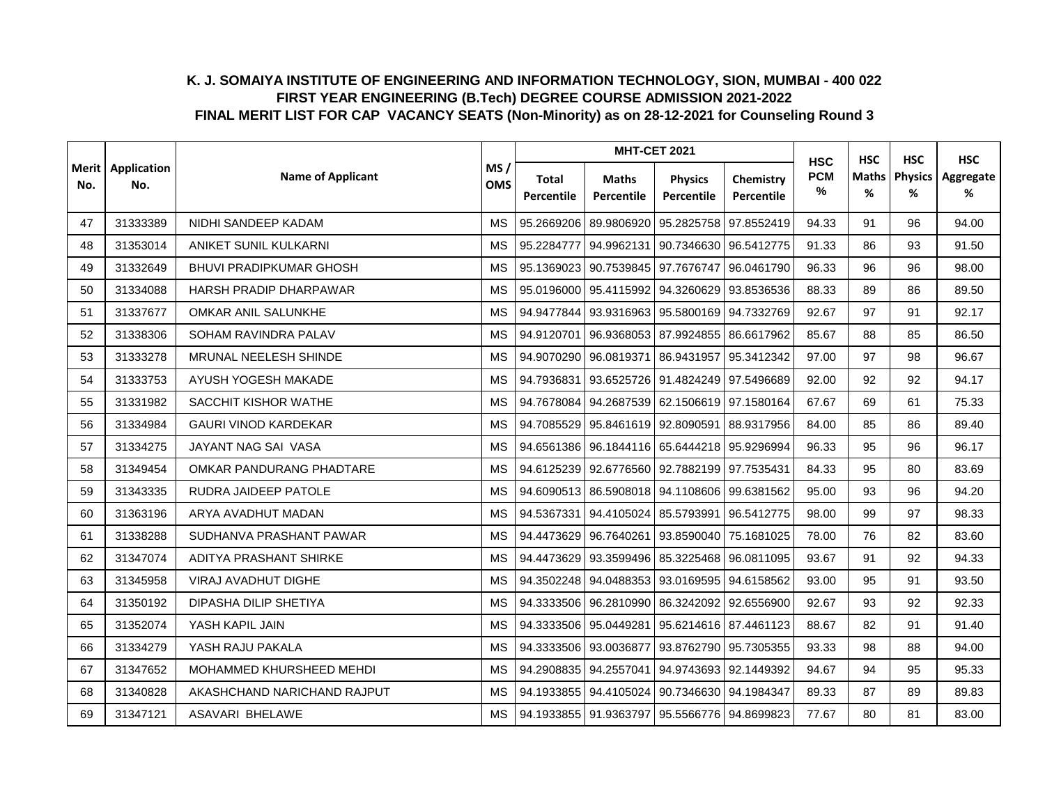|                |                    |                                |                                |                     |                            | <b>MHT-CET 2021</b>                         |                         | <b>HSC</b>         | <b>HSC</b>        | <b>HSC</b>          | <b>HSC</b>     |
|----------------|--------------------|--------------------------------|--------------------------------|---------------------|----------------------------|---------------------------------------------|-------------------------|--------------------|-------------------|---------------------|----------------|
| Merit l<br>No. | Application<br>No. | <b>Name of Applicant</b>       | MS/<br><b>OMS</b><br><b>MS</b> | Total<br>Percentile | <b>Maths</b><br>Percentile | <b>Physics</b><br>Percentile                | Chemistry<br>Percentile | <b>PCM</b><br>$\%$ | <b>Maths</b><br>% | <b>Physics</b><br>% | Aggregate<br>% |
| 47             | 31333389           | NIDHI SANDEEP KADAM            |                                | 95.2669206          | 89.9806920                 |                                             | 95.2825758 97.8552419   | 94.33              | 91                | 96                  | 94.00          |
| 48             | 31353014           | ANIKET SUNIL KULKARNI          | <b>MS</b>                      | 95.2284777          | 94.9962131                 | 90.7346630 96.5412775                       |                         | 91.33              | 86                | 93                  | 91.50          |
| 49             | 31332649           | <b>BHUVI PRADIPKUMAR GHOSH</b> | <b>MS</b>                      | 95.1369023          | 90.7539845                 |                                             | 97.7676747 96.0461790   | 96.33              | 96                | 96                  | 98.00          |
| 50             | 31334088           | HARSH PRADIP DHARPAWAR         | <b>MS</b>                      | 95.0196000          |                            | 95.4115992 94.3260629 93.8536536            |                         | 88.33              | 89                | 86                  | 89.50          |
| 51             | 31337677           | OMKAR ANIL SALUNKHE            | MS                             |                     |                            | 94.9477844 93.9316963 95.5800169 94.7332769 |                         | 92.67              | 97                | 91                  | 92.17          |
| 52             | 31338306           | SOHAM RAVINDRA PALAV           | <b>MS</b>                      | 94.9120701          |                            | 96.9368053 87.9924855 86.6617962            |                         | 85.67              | 88                | 85                  | 86.50          |
| 53             | 31333278           | MRUNAL NEELESH SHINDE          | <b>MS</b>                      | 94.9070290          | 96.0819371                 | 86.9431957 95.3412342                       |                         | 97.00              | 97                | 98                  | 96.67          |
| 54             | 31333753           | AYUSH YOGESH MAKADE            | <b>MS</b>                      | 94.7936831          | 93.6525726                 | 91.4824249 97.5496689                       |                         | 92.00              | 92                | 92                  | 94.17          |
| 55             | 31331982           | SACCHIT KISHOR WATHE           | <b>MS</b>                      | 94.7678084          |                            | 94.2687539 62.1506619 97.1580164            |                         | 67.67              | 69                | 61                  | 75.33          |
| 56             | 31334984           | <b>GAURI VINOD KARDEKAR</b>    | <b>MS</b>                      | 94.7085529          |                            | 95.8461619 92.8090591 88.9317956            |                         | 84.00              | 85                | 86                  | 89.40          |
| 57             | 31334275           | JAYANT NAG SAI VASA            | MS                             |                     |                            | 94.6561386 96.1844116 65.6444218 95.9296994 |                         | 96.33              | 95                | 96                  | 96.17          |
| 58             | 31349454           | OMKAR PANDURANG PHADTARE       | <b>MS</b>                      |                     |                            | 94.6125239 92.6776560 92.7882199 97.7535431 |                         | 84.33              | 95                | 80                  | 83.69          |
| 59             | 31343335           | RUDRA JAIDEEP PATOLE           | <b>MS</b>                      | 94.6090513          | 86.5908018                 | 94.1108606 99.6381562                       |                         | 95.00              | 93                | 96                  | 94.20          |
| 60             | 31363196           | ARYA AVADHUT MADAN             | <b>MS</b>                      | 94.5367331          | 94.4105024                 | 85.5793991 96.5412775                       |                         | 98.00              | 99                | 97                  | 98.33          |
| 61             | 31338288           | SUDHANVA PRASHANT PAWAR        | <b>MS</b>                      | 94.4473629          | 96.7640261                 | 93.8590040 75.1681025                       |                         | 78.00              | 76                | 82                  | 83.60          |
| 62             | 31347074           | ADITYA PRASHANT SHIRKE         | <b>MS</b>                      | 94.4473629          | 93.3599496                 | 85.3225468 96.0811095                       |                         | 93.67              | 91                | 92                  | 94.33          |
| 63             | 31345958           | VIRAJ AVADHUT DIGHE            | MS                             | 94.3502248          | 94.0488353                 | 93.0169595 94.6158562                       |                         | 93.00              | 95                | 91                  | 93.50          |
| 64             | 31350192           | DIPASHA DILIP SHETIYA          | <b>MS</b>                      |                     |                            | 94.3333506 96.2810990 86.3242092 92.6556900 |                         | 92.67              | 93                | 92                  | 92.33          |
| 65             | 31352074           | YASH KAPIL JAIN                | MS                             | 94.3333506          | 95.0449281                 | 95.6214616 87.4461123                       |                         | 88.67              | 82                | 91                  | 91.40          |
| 66             | 31334279           | YASH RAJU PAKALA               | <b>MS</b>                      | 94.3333506          | 93.0036877                 |                                             | 93.8762790 95.7305355   | 93.33              | 98                | 88                  | 94.00          |
| 67             | 31347652           | MOHAMMED KHURSHEED MEHDI       | MS                             | 94.2908835          | 94.2557041                 | 94.9743693 92.1449392                       |                         | 94.67              | 94                | 95                  | 95.33          |
| 68             | 31340828           | AKASHCHAND NARICHAND RAJPUT    | <b>MS</b>                      | 94.1933855          | 94.4105024                 | 90.7346630 94.1984347                       |                         | 89.33              | 87                | 89                  | 89.83          |
| 69             | 31347121           | <b>ASAVARI BHELAWE</b>         | <b>MS</b>                      |                     | 94.1933855 91.9363797      | 95.5566776 94.8699823                       |                         | 77.67              | 80                | 81                  | 83.00          |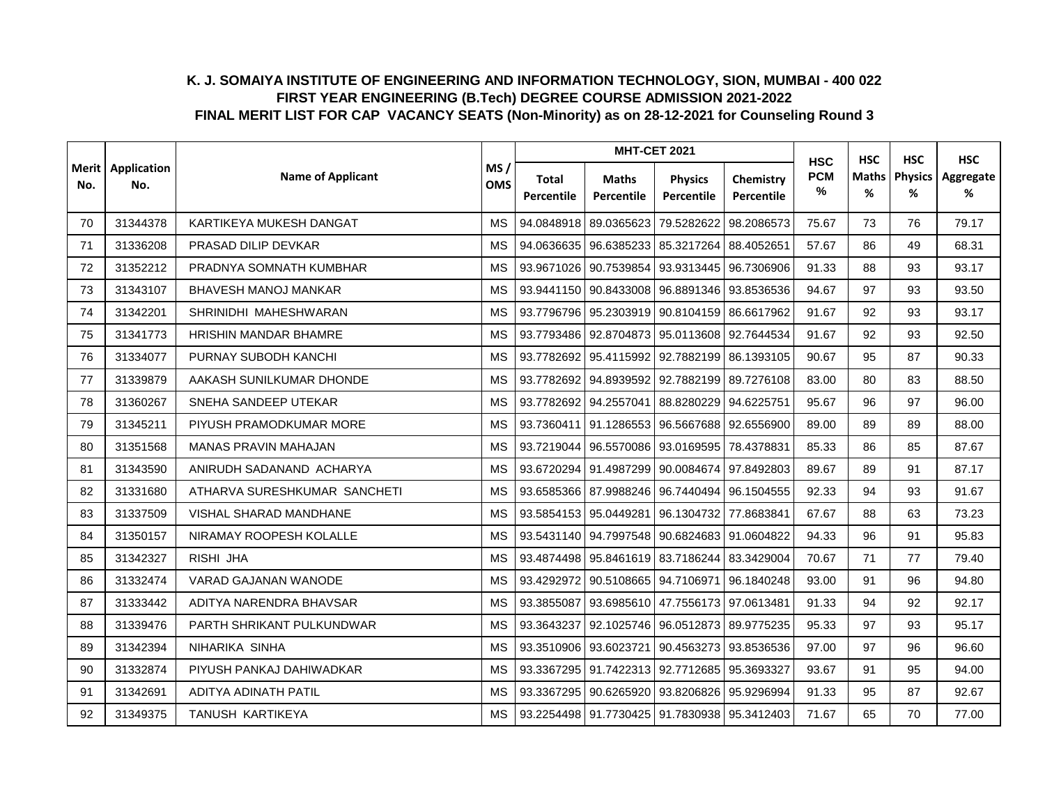|                |                    |                              |                                |                     |                            | <b>MHT-CET 2021</b>                               |                         | <b>HSC</b>         | <b>HSC</b>        | <b>HSC</b>          | <b>HSC</b>     |
|----------------|--------------------|------------------------------|--------------------------------|---------------------|----------------------------|---------------------------------------------------|-------------------------|--------------------|-------------------|---------------------|----------------|
| Merit l<br>No. | Application<br>No. | <b>Name of Applicant</b>     | MS/<br><b>OMS</b><br><b>MS</b> | Total<br>Percentile | <b>Maths</b><br>Percentile | <b>Physics</b><br>Percentile                      | Chemistry<br>Percentile | <b>PCM</b><br>$\%$ | <b>Maths</b><br>% | <b>Physics</b><br>% | Aggregate<br>% |
| 70             | 31344378           | KARTIKEYA MUKESH DANGAT      |                                | 94.0848918          | 89.0365623                 | 79.5282622                                        | 98.2086573              | 75.67              | 73                | 76                  | 79.17          |
| 71             | 31336208           | PRASAD DILIP DEVKAR          | <b>MS</b>                      | 94.0636635          | 96.6385233                 | 85.3217264 88.4052651                             |                         | 57.67              | 86                | 49                  | 68.31          |
| 72             | 31352212           | PRADNYA SOMNATH KUMBHAR      | <b>MS</b>                      | 93.9671026          | 90.7539854                 |                                                   | 93.9313445 96.7306906   | 91.33              | 88                | 93                  | 93.17          |
| 73             | 31343107           | <b>BHAVESH MANOJ MANKAR</b>  | <b>MS</b>                      |                     |                            | 93.9441150 90.8433008 96.8891346 93.8536536       |                         | 94.67              | 97                | 93                  | 93.50          |
| 74             | 31342201           | SHRINIDHI MAHESHWARAN        | MS                             |                     |                            | 93.7796796 95.2303919 90.8104159 86.6617962       |                         | 91.67              | 92                | 93                  | 93.17          |
| 75             | 31341773           | HRISHIN MANDAR BHAMRE        | <b>MS</b>                      |                     | 93.7793486 92.8704873      | 95.0113608 92.7644534                             |                         | 91.67              | 92                | 93                  | 92.50          |
| 76             | 31334077           | PURNAY SUBODH KANCHI         | <b>MS</b>                      | 93.7782692          | 95.4115992                 | 92.7882199 86.1393105                             |                         | 90.67              | 95                | 87                  | 90.33          |
| 77             | 31339879           | AAKASH SUNILKUMAR DHONDE     | <b>MS</b>                      | 93.7782692          | 94.8939592                 | 92.7882199 89.7276108                             |                         | 83.00              | 80                | 83                  | 88.50          |
| 78             | 31360267           | SNEHA SANDEEP UTEKAR         | <b>MS</b>                      | 93.7782692          | 94.2557041                 | 88.8280229 94.6225751                             |                         | 95.67              | 96                | 97                  | 96.00          |
| 79             | 31345211           | PIYUSH PRAMODKUMAR MORE      | <b>MS</b>                      | 93.7360411          | 91.1286553                 | 96.5667688 92.6556900                             |                         | 89.00              | 89                | 89                  | 88.00          |
| 80             | 31351568           | <b>MANAS PRAVIN MAHAJAN</b>  | MS                             |                     |                            | 93.7219044   96.5570086   93.0169595   78.4378831 |                         | 85.33              | 86                | 85                  | 87.67          |
| 81             | 31343590           | ANIRUDH SADANAND ACHARYA     | <b>MS</b>                      |                     |                            | 93.6720294 91.4987299 90.0084674 97.8492803       |                         | 89.67              | 89                | 91                  | 87.17          |
| 82             | 31331680           | ATHARVA SURESHKUMAR SANCHETI | <b>MS</b>                      | 93.6585366          | 87.9988246                 |                                                   | 96.7440494 96.1504555   | 92.33              | 94                | 93                  | 91.67          |
| 83             | 31337509           | VISHAL SHARAD MANDHANE       | <b>MS</b>                      | 93.5854153          | 95.0449281                 | 96.1304732                                        | 77.8683841              | 67.67              | 88                | 63                  | 73.23          |
| 84             | 31350157           | NIRAMAY ROOPESH KOLALLE      | <b>MS</b>                      | 93.5431140          | 94.7997548                 | 90.6824683 91.0604822                             |                         | 94.33              | 96                | 91                  | 95.83          |
| 85             | 31342327           | RISHI JHA                    | <b>MS</b>                      |                     |                            | 93.4874498 95.8461619 83.7186244 83.3429004       |                         | 70.67              | 71                | 77                  | 79.40          |
| 86             | 31332474           | VARAD GAJANAN WANODE         | MS                             | 93.4292972          | 90.5108665                 | 94.7106971 96.1840248                             |                         | 93.00              | 91                | 96                  | 94.80          |
| 87             | 31333442           | ADITYA NARENDRA BHAVSAR      | <b>MS</b>                      | 93.3855087          |                            | 93.6985610 47.7556173 97.0613481                  |                         | 91.33              | 94                | 92                  | 92.17          |
| 88             | 31339476           | PARTH SHRIKANT PULKUNDWAR    | MS                             | 93.3643237          |                            | 92.1025746 96.0512873 89.9775235                  |                         | 95.33              | 97                | 93                  | 95.17          |
| 89             | 31342394           | NIHARIKA SINHA               | <b>MS</b>                      | 93.3510906          | 93.6023721                 |                                                   | 90.4563273 93.8536536   | 97.00              | 97                | 96                  | 96.60          |
| 90             | 31332874           | PIYUSH PANKAJ DAHIWADKAR     | MS                             | 93.3367295          |                            | 91.7422313 92.7712685 95.3693327                  |                         | 93.67              | 91                | 95                  | 94.00          |
| 91             | 31342691           | ADITYA ADINATH PATIL         | <b>MS</b>                      | 93.3367295          | 90.6265920                 | 93.8206826 95.9296994                             |                         | 91.33              | 95                | 87                  | 92.67          |
| 92             | 31349375           | TANUSH KARTIKEYA             | <b>MS</b>                      |                     |                            | 93.2254498 91.7730425 91.7830938 95.3412403       |                         | 71.67              | 65                | 70                  | 77.00          |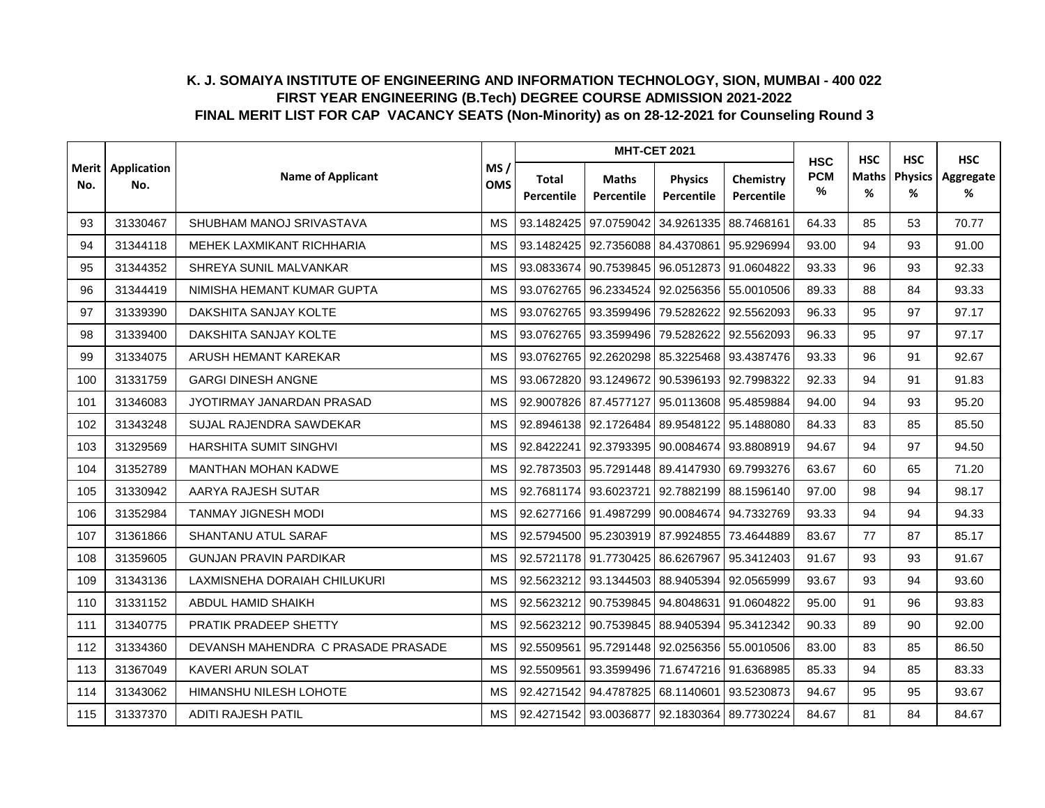|                |                    |                                    |                   |                     |                                  | <b>MHT-CET 2021</b>                         |                                | <b>HSC</b>      | <b>HSC</b> | <b>HSC</b>          | <b>HSC</b>     |
|----------------|--------------------|------------------------------------|-------------------|---------------------|----------------------------------|---------------------------------------------|--------------------------------|-----------------|------------|---------------------|----------------|
| Merit l<br>No. | Application<br>No. | <b>Name of Applicant</b>           | MS/<br><b>OMS</b> | Total<br>Percentile | <b>Maths</b><br>Percentile       | <b>Physics</b><br>Percentile                | Chemistry<br><b>Percentile</b> | <b>PCM</b><br>% | Maths<br>% | <b>Physics</b><br>% | Aggregate<br>% |
| 93             | 31330467           | SHUBHAM MANOJ SRIVASTAVA           | <b>MS</b>         | 93.1482425          | 97.0759042                       | 34.9261335                                  | 88.7468161                     | 64.33           | 85         | 53                  | 70.77          |
| 94             | 31344118           | MEHEK LAXMIKANT RICHHARIA          | <b>MS</b>         | 93.1482425          |                                  | 92.7356088 84.4370861                       | 95.9296994                     | 93.00           | 94         | 93                  | 91.00          |
| 95             | 31344352           | SHREYA SUNIL MALVANKAR             | <b>MS</b>         | 93.0833674          | 90.7539845                       | 96.0512873                                  | 91.0604822                     | 93.33           | 96         | 93                  | 92.33          |
| 96             | 31344419           | NIMISHA HEMANT KUMAR GUPTA         | <b>MS</b>         | 93.0762765          |                                  | 96.2334524 92.0256356 55.0010506            |                                | 89.33           | 88         | 84                  | 93.33          |
| 97             | 31339390           | DAKSHITA SANJAY KOLTE              | <b>MS</b>         |                     | 93.0762765 93.3599496 79.5282622 |                                             | 92.5562093                     | 96.33           | 95         | 97                  | 97.17          |
| 98             | 31339400           | DAKSHITA SANJAY KOLTE              | <b>MS</b>         | 93.0762765          | 93.3599496                       | 79.5282622                                  | 92.5562093                     | 96.33           | 95         | 97                  | 97.17          |
| 99             | 31334075           | ARUSH HEMANT KAREKAR               | <b>MS</b>         | 93.0762765          | 92.2620298                       | 85.3225468 93.4387476                       |                                | 93.33           | 96         | 91                  | 92.67          |
| 100            | 31331759           | <b>GARGI DINESH ANGNE</b>          | <b>MS</b>         | 93.0672820          | 93.1249672                       | 90.5396193 92.7998322                       |                                | 92.33           | 94         | 91                  | 91.83          |
| 101            | 31346083           | JYOTIRMAY JANARDAN PRASAD          | <b>MS</b>         | 92.9007826          | 87.4577127                       | 95.0113608 95.4859884                       |                                | 94.00           | 94         | 93                  | 95.20          |
| 102            | 31343248           | SUJAL RAJENDRA SAWDEKAR            | <b>MS</b>         | 92.8946138          | 92.1726484                       | 89.9548122                                  | 95.1488080                     | 84.33           | 83         | 85                  | 85.50          |
| 103            | 31329569           | HARSHITA SUMIT SINGHVI             | <b>MS</b>         | 92.8422241          |                                  | 92.3793395 90.0084674 93.8808919            |                                | 94.67           | 94         | 97                  | 94.50          |
| 104            | 31352789           | <b>MANTHAN MOHAN KADWE</b>         | <b>MS</b>         |                     |                                  | 92.7873503 95.7291448 89.4147930 69.7993276 |                                | 63.67           | 60         | 65                  | 71.20          |
| 105            | 31330942           | AARYA RAJESH SUTAR                 | <b>MS</b>         | 92.7681174          | 93.6023721                       | 92.7882199                                  | 88.1596140                     | 97.00           | 98         | 94                  | 98.17          |
| 106            | 31352984           | <b>TANMAY JIGNESH MODI</b>         | <b>MS</b>         | 92.6277166          | 91.4987299                       | 90.0084674 94.7332769                       |                                | 93.33           | 94         | 94                  | 94.33          |
| 107            | 31361866           | SHANTANU ATUL SARAF                | <b>MS</b>         |                     |                                  | 92.5794500 95.2303919 87.9924855 73.4644889 |                                | 83.67           | 77         | 87                  | 85.17          |
| 108            | 31359605           | <b>GUNJAN PRAVIN PARDIKAR</b>      | <b>MS</b>         | 92.5721178          | 91.7730425                       | 86.6267967                                  | 95.3412403                     | 91.67           | 93         | 93                  | 91.67          |
| 109            | 31343136           | LAXMISNEHA DORAIAH CHILUKURI       | <b>MS</b>         | 92.5623212          |                                  | 93.1344503 88.9405394 92.0565999            |                                | 93.67           | 93         | 94                  | 93.60          |
| 110            | 31331152           | ABDUL HAMID SHAIKH                 | <b>MS</b>         |                     | 92.5623212 90.7539845 94.8048631 |                                             | 91.0604822                     | 95.00           | 91         | 96                  | 93.83          |
| 111            | 31340775           | PRATIK PRADEEP SHETTY              | MS                | 92.5623212          | 90.7539845                       | 88.9405394                                  | 95.3412342                     | 90.33           | 89         | 90                  | 92.00          |
| 112            | 31334360           | DEVANSH MAHENDRA C PRASADE PRASADE | <b>MS</b>         | 92.5509561          | 95.7291448                       | 92.0256356 55.0010506                       |                                | 83.00           | 83         | 85                  | 86.50          |
| 113            | 31367049           | KAVERI ARUN SOLAT                  | MS                | 92.5509561          |                                  | 93.3599496 71.6747216 91.6368985            |                                | 85.33           | 94         | 85                  | 83.33          |
| 114            | 31343062           | HIMANSHU NILESH LOHOTE             | <b>MS</b>         | 92.4271542          | 94.4787825                       | 68.1140601                                  | 93.5230873                     | 94.67           | 95         | 95                  | 93.67          |
| 115            | 31337370           | <b>ADITI RAJESH PATIL</b>          | <b>MS</b>         |                     | 92.4271542 93.0036877            | 92.1830364 89.7730224                       |                                | 84.67           | 81         | 84                  | 84.67          |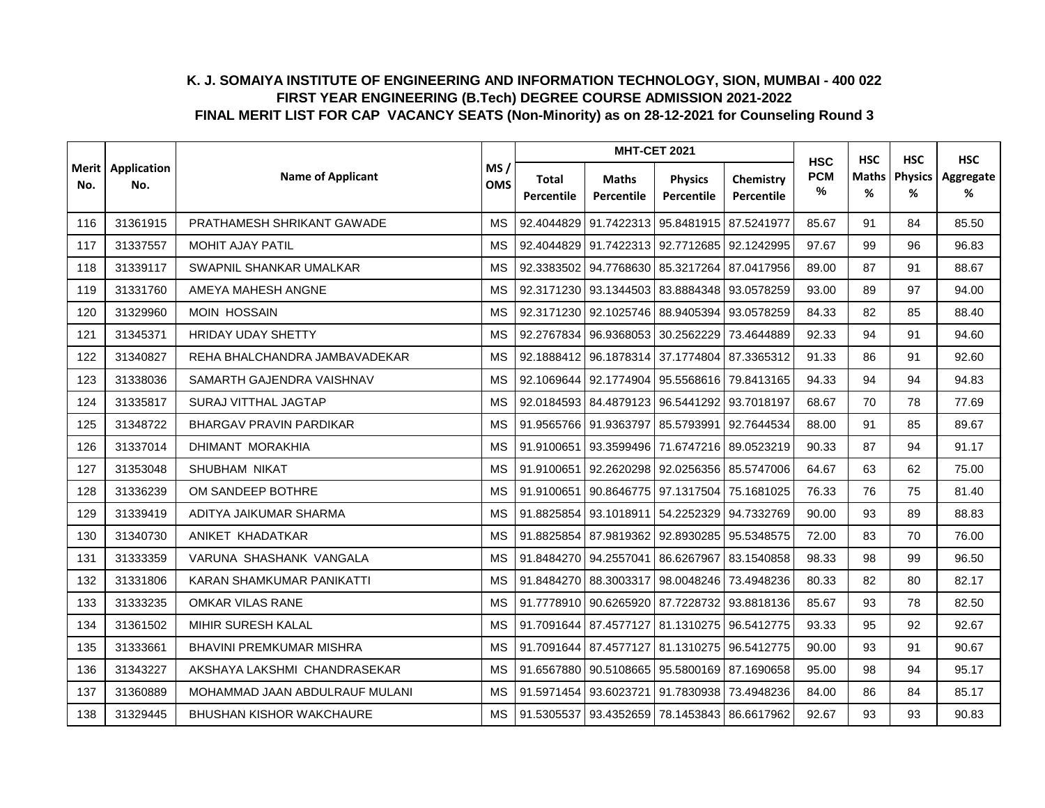|                |                    |                                 |                   |                     |                            | <b>MHT-CET 2021</b>                         |                         | <b>HSC</b>         | <b>HSC</b>        | <b>HSC</b>          | <b>HSC</b>     |
|----------------|--------------------|---------------------------------|-------------------|---------------------|----------------------------|---------------------------------------------|-------------------------|--------------------|-------------------|---------------------|----------------|
| Merit l<br>No. | Application<br>No. | <b>Name of Applicant</b>        | MS/<br><b>OMS</b> | Total<br>Percentile | <b>Maths</b><br>Percentile | <b>Physics</b><br>Percentile                | Chemistry<br>Percentile | <b>PCM</b><br>$\%$ | <b>Maths</b><br>% | <b>Physics</b><br>% | Aggregate<br>% |
| 116            | 31361915           | PRATHAMESH SHRIKANT GAWADE      | <b>MS</b>         | 92.4044829          | 91.7422313                 | 95.8481915 87.5241977                       |                         | 85.67              | 91                | 84                  | 85.50          |
| 117            | 31337557           | <b>MOHIT AJAY PATIL</b>         | <b>MS</b>         | 92.4044829          |                            | 91.7422313 92.7712685 92.1242995            |                         | 97.67              | 99                | 96                  | 96.83          |
| 118            | 31339117           | SWAPNIL SHANKAR UMALKAR         | <b>MS</b>         | 92.3383502          | 94.7768630                 | 85.3217264 87.0417956                       |                         | 89.00              | 87                | 91                  | 88.67          |
| 119            | 31331760           | AMEYA MAHESH ANGNE              | <b>MS</b>         |                     |                            | 92.3171230 93.1344503 83.8884348 93.0578259 |                         | 93.00              | 89                | 97                  | 94.00          |
| 120            | 31329960           | <b>MOIN HOSSAIN</b>             | <b>MS</b>         |                     |                            | 92.3171230 92.1025746 88.9405394 93.0578259 |                         | 84.33              | 82                | 85                  | 88.40          |
| 121            | 31345371           | <b>HRIDAY UDAY SHETTY</b>       | <b>MS</b>         | 92.2767834          | 96.9368053                 | 30.2562229                                  | 73.4644889              | 92.33              | 94                | 91                  | 94.60          |
| 122            | 31340827           | REHA BHALCHANDRA JAMBAVADEKAR   | <b>MS</b>         | 92.1888412          |                            | 96.1878314 37.1774804 87.3365312            |                         | 91.33              | 86                | 91                  | 92.60          |
| 123            | 31338036           | SAMARTH GAJENDRA VAISHNAV       | <b>MS</b>         | 92.1069644          | 92.1774904                 | 95.5568616 79.8413165                       |                         | 94.33              | 94                | 94                  | 94.83          |
| 124            | 31335817           | <b>SURAJ VITTHAL JAGTAP</b>     | <b>MS</b>         |                     | 92.0184593 84.4879123      | 96.5441292 93.7018197                       |                         | 68.67              | 70                | 78                  | 77.69          |
| 125            | 31348722           | <b>BHARGAV PRAVIN PARDIKAR</b>  | <b>MS</b>         | 91.9565766          | 91.9363797                 | 85.5793991 92.7644534                       |                         | 88.00              | 91                | 85                  | 89.67          |
| 126            | 31337014           | DHIMANT MORAKHIA                | <b>MS</b>         | 91.9100651          |                            | 93.3599496 71.6747216 89.0523219            |                         | 90.33              | 87                | 94                  | 91.17          |
| 127            | 31353048           | SHUBHAM NIKAT                   | <b>MS</b>         | 91.9100651          |                            | 92.2620298 92.0256356 85.5747006            |                         | 64.67              | 63                | 62                  | 75.00          |
| 128            | 31336239           | OM SANDEEP BOTHRE               | <b>MS</b>         | 91.9100651          | 90.8646775                 | 97.1317504 75.1681025                       |                         | 76.33              | 76                | 75                  | 81.40          |
| 129            | 31339419           | ADITYA JAIKUMAR SHARMA          | <b>MS</b>         | 91.8825854          |                            | 93.1018911 54.2252329 94.7332769            |                         | 90.00              | 93                | 89                  | 88.83          |
| 130            | 31340730           | ANIKET KHADATKAR                | <b>MS</b>         | 91.8825854          | 87.9819362                 | 92.8930285 95.5348575                       |                         | 72.00              | 83                | 70                  | 76.00          |
| 131            | 31333359           | VARUNA SHASHANK VANGALA         | <b>MS</b>         | 91.8484270          | 94.2557041                 | 86.6267967                                  | 83.1540858              | 98.33              | 98                | 99                  | 96.50          |
| 132            | 31331806           | KARAN SHAMKUMAR PANIKATTI       | <b>MS</b>         | 91.8484270          | 88.3003317                 |                                             | 98.0048246 73.4948236   | 80.33              | 82                | 80                  | 82.17          |
| 133            | 31333235           | OMKAR VILAS RANE                | <b>MS</b>         |                     |                            | 91.7778910 90.6265920 87.7228732 93.8818136 |                         | 85.67              | 93                | 78                  | 82.50          |
| 134            | 31361502           | MIHIR SURESH KALAL              | MS                | 91.7091644          |                            | 87.4577127 81.1310275 96.5412775            |                         | 93.33              | 95                | 92                  | 92.67          |
| 135            | 31333661           | <b>BHAVINI PREMKUMAR MISHRA</b> | <b>MS</b>         | 91.7091644          | 87.4577127                 | 81.1310275 96.5412775                       |                         | 90.00              | 93                | 91                  | 90.67          |
| 136            | 31343227           | AKSHAYA LAKSHMI CHANDRASEKAR    | MS                | 91.6567880          | 90.5108665                 | 95.5800169 87.1690658                       |                         | 95.00              | 98                | 94                  | 95.17          |
| 137            | 31360889           | MOHAMMAD JAAN ABDULRAUF MULANI  | <b>MS</b>         | 91.5971454          | 93.6023721                 | 91.7830938 73.4948236                       |                         | 84.00              | 86                | 84                  | 85.17          |
| 138            | 31329445           | BHUSHAN KISHOR WAKCHAURE        | <b>MS</b>         | 91.5305537          |                            | 93.4352659 78.1453843 86.6617962            |                         | 92.67              | 93                | 93                  | 90.83          |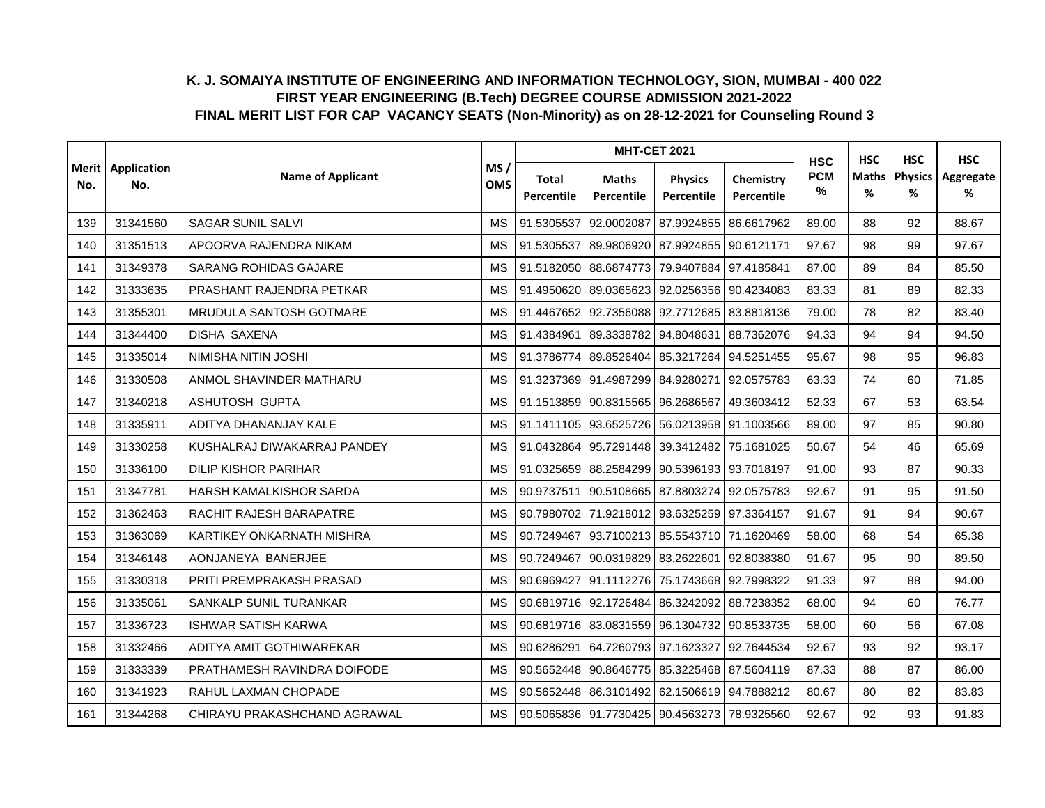|                |                    |                              |                   | <b>MHT-CET 2021</b> |                            |                                             |                         | <b>HSC</b>         | <b>HSC</b>        | <b>HSC</b>          | <b>HSC</b>     |
|----------------|--------------------|------------------------------|-------------------|---------------------|----------------------------|---------------------------------------------|-------------------------|--------------------|-------------------|---------------------|----------------|
| Merit l<br>No. | Application<br>No. | <b>Name of Applicant</b>     | MS/<br><b>OMS</b> | Total<br>Percentile | <b>Maths</b><br>Percentile | <b>Physics</b><br>Percentile                | Chemistry<br>Percentile | <b>PCM</b><br>$\%$ | <b>Maths</b><br>% | <b>Physics</b><br>% | Aggregate<br>% |
| 139            | 31341560           | <b>SAGAR SUNIL SALVI</b>     | <b>MS</b>         | 91.5305537          | 92.0002087                 | 87.9924855                                  | 86.6617962              | 89.00              | 88                | 92                  | 88.67          |
| 140            | 31351513           | APOORVA RAJENDRA NIKAM       | <b>MS</b>         | 91.5305537          | 89.9806920                 | 87.9924855 90.6121171                       |                         | 97.67              | 98                | 99                  | 97.67          |
| 141            | 31349378           | SARANG ROHIDAS GAJARE        | <b>MS</b>         | 91.5182050          | 88.6874773                 |                                             | 79.9407884 97.4185841   | 87.00              | 89                | 84                  | 85.50          |
| 142            | 31333635           | PRASHANT RAJENDRA PETKAR     | <b>MS</b>         | 91.4950620          |                            | 89.0365623 92.0256356 90.4234083            |                         | 83.33              | 81                | 89                  | 82.33          |
| 143            | 31355301           | MRUDULA SANTOSH GOTMARE      | MS                |                     |                            | 91.4467652 92.7356088 92.7712685 83.8818136 |                         | 79.00              | 78                | 82                  | 83.40          |
| 144            | 31344400           | <b>DISHA SAXENA</b>          | <b>MS</b>         | 91.4384961          | 89.3338782                 |                                             | 94.8048631 88.7362076   | 94.33              | 94                | 94                  | 94.50          |
| 145            | 31335014           | NIMISHA NITIN JOSHI          | <b>MS</b>         | 91.3786774          | 89.8526404                 | 85.3217264 94.5251455                       |                         | 95.67              | 98                | 95                  | 96.83          |
| 146            | 31330508           | ANMOL SHAVINDER MATHARU      | <b>MS</b>         | 91.3237369          | 91.4987299                 | 84.9280271                                  | 92.0575783              | 63.33              | 74                | 60                  | 71.85          |
| 147            | 31340218           | ASHUTOSH GUPTA               | <b>MS</b>         |                     | 91.1513859 90.8315565      | 96.2686567                                  | 49.3603412              | 52.33              | 67                | 53                  | 63.54          |
| 148            | 31335911           | ADITYA DHANANJAY KALE        | <b>MS</b>         | 91.1411105          | 93.6525726                 | 56.0213958 91.1003566                       |                         | 89.00              | 97                | 85                  | 90.80          |
| 149            | 31330258           | KUSHALRAJ DIWAKARRAJ PANDEY  | MS                |                     |                            | 91.0432864 95.7291448 39.3412482 75.1681025 |                         | 50.67              | 54                | 46                  | 65.69          |
| 150            | 31336100           | <b>DILIP KISHOR PARIHAR</b>  | <b>MS</b>         | 91.0325659          |                            | 88.2584299 90.5396193 93.7018197            |                         | 91.00              | 93                | 87                  | 90.33          |
| 151            | 31347781           | HARSH KAMALKISHOR SARDA      | <b>MS</b>         | 90.9737511          | 90.5108665                 | 87.8803274 92.0575783                       |                         | 92.67              | 91                | 95                  | 91.50          |
| 152            | 31362463           | RACHIT RAJESH BARAPATRE      | <b>MS</b>         | 90.7980702          |                            | 71.9218012 93.6325259 97.3364157            |                         | 91.67              | 91                | 94                  | 90.67          |
| 153            | 31363069           | KARTIKEY ONKARNATH MISHRA    | <b>MS</b>         | 90.7249467          |                            | 93.7100213 85.5543710 71.1620469            |                         | 58.00              | 68                | 54                  | 65.38          |
| 154            | 31346148           | AONJANEYA BANERJEE           | <b>MS</b>         | 90.7249467          | 90.0319829                 | 83.2622601 92.8038380                       |                         | 91.67              | 95                | 90                  | 89.50          |
| 155            | 31330318           | PRITI PREMPRAKASH PRASAD     | <b>MS</b>         | 90.6969427          | 91.1112276                 | 75.1743668 92.7998322                       |                         | 91.33              | 97                | 88                  | 94.00          |
| 156            | 31335061           | SANKALP SUNIL TURANKAR       | <b>MS</b>         |                     |                            | 90.6819716 92.1726484 86.3242092 88.7238352 |                         | 68.00              | 94                | 60                  | 76.77          |
| 157            | 31336723           | <b>ISHWAR SATISH KARWA</b>   | MS                | 90.6819716          |                            | 83.0831559 96.1304732 90.8533735            |                         | 58.00              | 60                | 56                  | 67.08          |
| 158            | 31332466           | ADITYA AMIT GOTHIWAREKAR     | <b>MS</b>         | 90.6286291          | 64.7260793                 | 97.1623327                                  | 92.7644534              | 92.67              | 93                | 92                  | 93.17          |
| 159            | 31333339           | PRATHAMESH RAVINDRA DOIFODE  | MS                | 90.5652448          | 90.8646775                 | 85.3225468 87.5604119                       |                         | 87.33              | 88                | 87                  | 86.00          |
| 160            | 31341923           | RAHUL LAXMAN CHOPADE         | <b>MS</b>         | 90.5652448          | 86.3101492                 | 62.1506619 94.7888212                       |                         | 80.67              | 80                | 82                  | 83.83          |
| 161            | 31344268           | CHIRAYU PRAKASHCHAND AGRAWAL | <b>MS</b>         |                     |                            | 90.5065836 91.7730425 90.4563273 78.9325560 |                         | 92.67              | 92                | 93                  | 91.83          |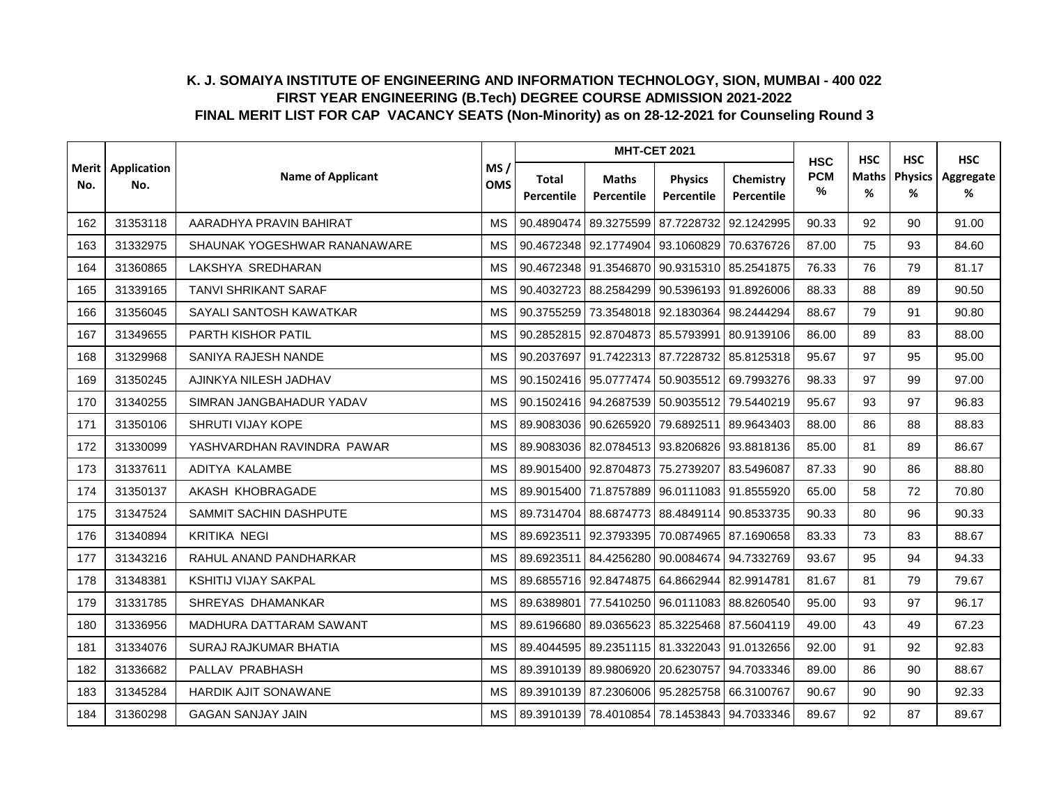|                | Application |                              |                   |                     |                            | <b>MHT-CET 2021</b>                         |                         | <b>HSC</b>         | <b>HSC</b>        | <b>HSC</b>          | <b>HSC</b>     |
|----------------|-------------|------------------------------|-------------------|---------------------|----------------------------|---------------------------------------------|-------------------------|--------------------|-------------------|---------------------|----------------|
| Merit l<br>No. | No.         | <b>Name of Applicant</b>     | MS/<br><b>OMS</b> | Total<br>Percentile | <b>Maths</b><br>Percentile | <b>Physics</b><br>Percentile                | Chemistry<br>Percentile | <b>PCM</b><br>$\%$ | <b>Maths</b><br>% | <b>Physics</b><br>% | Aggregate<br>% |
| 162            | 31353118    | AARADHYA PRAVIN BAHIRAT      | <b>MS</b>         | 90.4890474          | 89.3275599                 |                                             | 87.7228732 92.1242995   | 90.33              | 92                | 90                  | 91.00          |
| 163            | 31332975    | SHAUNAK YOGESHWAR RANANAWARE | <b>MS</b>         |                     |                            | 90.4672348 92.1774904 93.1060829 70.6376726 |                         | 87.00              | 75                | 93                  | 84.60          |
| 164            | 31360865    | LAKSHYA SREDHARAN            | <b>MS</b>         | 90.4672348          | 91.3546870                 | 90.9315310 85.2541875                       |                         | 76.33              | 76                | 79                  | 81.17          |
| 165            | 31339165    | <b>TANVI SHRIKANT SARAF</b>  | <b>MS</b>         |                     |                            | 90.4032723 88.2584299 90.5396193 91.8926006 |                         | 88.33              | 88                | 89                  | 90.50          |
| 166            | 31356045    | SAYALI SANTOSH KAWATKAR      | MS                |                     |                            | 90.3755259 73.3548018 92.1830364 98.2444294 |                         | 88.67              | 79                | 91                  | 90.80          |
| 167            | 31349655    | PARTH KISHOR PATIL           | <b>MS</b>         |                     |                            | 90.2852815 92.8704873 85.5793991 80.9139106 |                         | 86.00              | 89                | 83                  | 88.00          |
| 168            | 31329968    | SANIYA RAJESH NANDE          | <b>MS</b>         | 90.2037697          |                            | 91.7422313 87.7228732 85.8125318            |                         | 95.67              | 97                | 95                  | 95.00          |
| 169            | 31350245    | AJINKYA NILESH JADHAV        | <b>MS</b>         | 90.1502416          | 95.0777474                 |                                             | 50.9035512 69.7993276   | 98.33              | 97                | 99                  | 97.00          |
| 170            | 31340255    | SIMRAN JANGBAHADUR YADAV     | <b>MS</b>         |                     |                            | 90.1502416 94.2687539 50.9035512 79.5440219 |                         | 95.67              | 93                | 97                  | 96.83          |
| 171            | 31350106    | SHRUTI VIJAY KOPE            | <b>MS</b>         | 89.9083036          | 90.6265920                 | 79.6892511                                  | 89.9643403              | 88.00              | 86                | 88                  | 88.83          |
| 172            | 31330099    | YASHVARDHAN RAVINDRA PAWAR   | MS                |                     |                            | 89.9083036 82.0784513 93.8206826 93.8818136 |                         | 85.00              | 81                | 89                  | 86.67          |
| 173            | 31337611    | ADITYA KALAMBE               | <b>MS</b>         |                     |                            | 89.9015400 92.8704873 75.2739207 83.5496087 |                         | 87.33              | 90                | 86                  | 88.80          |
| 174            | 31350137    | AKASH KHOBRAGADE             | <b>MS</b>         | 89.9015400          | 71.8757889                 | 96.0111083 91.8555920                       |                         | 65.00              | 58                | 72                  | 70.80          |
| 175            | 31347524    | SAMMIT SACHIN DASHPUTE       | <b>MS</b>         | 89.7314704          | 88.6874773                 | 88.4849114 90.8533735                       |                         | 90.33              | 80                | 96                  | 90.33          |
| 176            | 31340894    | <b>KRITIKA NEGI</b>          | <b>MS</b>         | 89.6923511          | 92.3793395                 |                                             | 70.0874965 87.1690658   | 83.33              | 73                | 83                  | 88.67          |
| 177            | 31343216    | RAHUL ANAND PANDHARKAR       | <b>MS</b>         | 89.6923511          | 84.4256280                 | 90.0084674 94.7332769                       |                         | 93.67              | 95                | 94                  | 94.33          |
| 178            | 31348381    | <b>KSHITIJ VIJAY SAKPAL</b>  | <b>MS</b>         | 89.6855716          | 92.8474875                 | 64.8662944 82.9914781                       |                         | 81.67              | 81                | 79                  | 79.67          |
| 179            | 31331785    | SHREYAS DHAMANKAR            | <b>MS</b>         | 89.6389801          |                            | 77.5410250 96.0111083 88.8260540            |                         | 95.00              | 93                | 97                  | 96.17          |
| 180            | 31336956    | MADHURA DATTARAM SAWANT      | MS                | 89.6196680          |                            | 89.0365623 85.3225468 87.5604119            |                         | 49.00              | 43                | 49                  | 67.23          |
| 181            | 31334076    | SURAJ RAJKUMAR BHATIA        | <b>MS</b>         | 89.4044595          | 89.2351115                 | 81.3322043 91.0132656                       |                         | 92.00              | 91                | 92                  | 92.83          |
| 182            | 31336682    | PALLAV PRABHASH              | MS                | 89.3910139          | 89.9806920                 | 20.6230757                                  | 94.7033346              | 89.00              | 86                | 90                  | 88.67          |
| 183            | 31345284    | <b>HARDIK AJIT SONAWANE</b>  | <b>MS</b>         |                     | 89.3910139 87.2306006      | 95.2825758 66.3100767                       |                         | 90.67              | 90                | 90                  | 92.33          |
| 184            | 31360298    | <b>GAGAN SANJAY JAIN</b>     | <b>MS</b>         |                     |                            | 89.3910139 78.4010854 78.1453843 94.7033346 |                         | 89.67              | 92                | 87                  | 89.67          |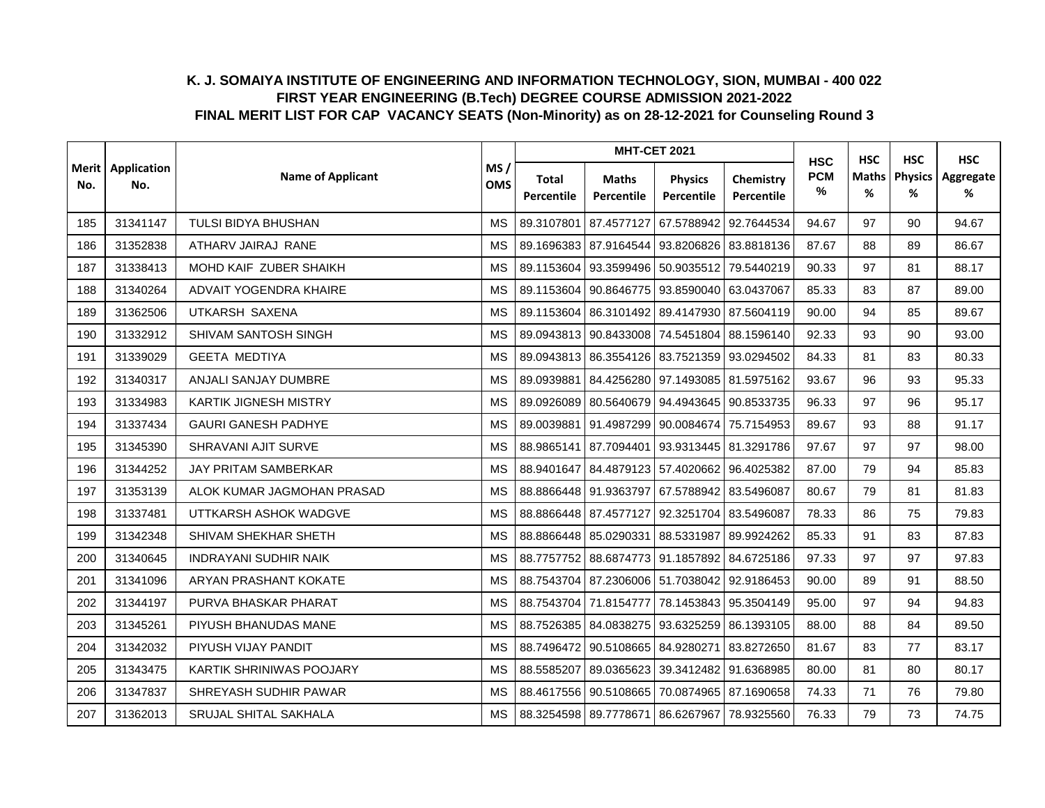|                | Application |                              |                                |                     |                            | <b>MHT-CET 2021</b>              |                         | <b>HSC</b>         | <b>HSC</b>        | <b>HSC</b>          | <b>HSC</b>     |
|----------------|-------------|------------------------------|--------------------------------|---------------------|----------------------------|----------------------------------|-------------------------|--------------------|-------------------|---------------------|----------------|
| Merit l<br>No. | No.         | <b>Name of Applicant</b>     | MS/<br><b>OMS</b><br><b>MS</b> | Total<br>Percentile | <b>Maths</b><br>Percentile | <b>Physics</b><br>Percentile     | Chemistry<br>Percentile | <b>PCM</b><br>$\%$ | <b>Maths</b><br>% | <b>Physics</b><br>% | Aggregate<br>% |
| 185            | 31341147    | TULSI BIDYA BHUSHAN          |                                | 89.3107801          | 87.4577127                 | 67.5788942                       | 92.7644534              | 94.67              | 97                | 90                  | 94.67          |
| 186            | 31352838    | ATHARV JAIRAJ RANE           | <b>MS</b>                      | 89.1696383          | 87.9164544                 | 93.8206826 83.8818136            |                         | 87.67              | 88                | 89                  | 86.67          |
| 187            | 31338413    | MOHD KAIF ZUBER SHAIKH       | <b>MS</b>                      | 89.1153604          | 93.3599496                 | 50.9035512                       | 79.5440219              | 90.33              | 97                | 81                  | 88.17          |
| 188            | 31340264    | ADVAIT YOGENDRA KHAIRE       | <b>MS</b>                      | 89.1153604          |                            | 90.8646775 93.8590040 63.0437067 |                         | 85.33              | 83                | 87                  | 89.00          |
| 189            | 31362506    | UTKARSH SAXENA               | MS                             | 89.1153604          |                            | 86.3101492 89.4147930 87.5604119 |                         | 90.00              | 94                | 85                  | 89.67          |
| 190            | 31332912    | SHIVAM SANTOSH SINGH         | <b>MS</b>                      | 89.0943813          |                            | 90.8433008 74.5451804 88.1596140 |                         | 92.33              | 93                | 90                  | 93.00          |
| 191            | 31339029    | <b>GEETA MEDTIYA</b>         | <b>MS</b>                      | 89.0943813          |                            | 86.3554126 83.7521359 93.0294502 |                         | 84.33              | 81                | 83                  | 80.33          |
| 192            | 31340317    | ANJALI SANJAY DUMBRE         | <b>MS</b>                      | 89.0939881          |                            | 84.4256280 97.1493085 81.5975162 |                         | 93.67              | 96                | 93                  | 95.33          |
| 193            | 31334983    | <b>KARTIK JIGNESH MISTRY</b> | <b>MS</b>                      | 89.0926089          | 80.5640679                 | 94.4943645 90.8533735            |                         | 96.33              | 97                | 96                  | 95.17          |
| 194            | 31337434    | <b>GAURI GANESH PADHYE</b>   | <b>MS</b>                      | 89.0039881          | 91.4987299                 | 90.0084674 75.7154953            |                         | 89.67              | 93                | 88                  | 91.17          |
| 195            | 31345390    | SHRAVANI AJIT SURVE          | MS                             | 88.9865141          |                            | 87.7094401 93.9313445 81.3291786 |                         | 97.67              | 97                | 97                  | 98.00          |
| 196            | 31344252    | JAY PRITAM SAMBERKAR         | <b>MS</b>                      | 88.9401647          |                            | 84.4879123 57.4020662 96.4025382 |                         | 87.00              | 79                | 94                  | 85.83          |
| 197            | 31353139    | ALOK KUMAR JAGMOHAN PRASAD   | <b>MS</b>                      | 88.8866448          | 91.9363797                 | 67.5788942 83.5496087            |                         | 80.67              | 79                | 81                  | 81.83          |
| 198            | 31337481    | UTTKARSH ASHOK WADGVE        | <b>MS</b>                      | 88.8866448          | 87.4577127                 | 92.3251704 83.5496087            |                         | 78.33              | 86                | 75                  | 79.83          |
| 199            | 31342348    | SHIVAM SHEKHAR SHETH         | <b>MS</b>                      | 88.8866448          | 85.0290331                 | 88.5331987 89.9924262            |                         | 85.33              | 91                | 83                  | 87.83          |
| 200            | 31340645    | <b>INDRAYANI SUDHIR NAIK</b> | <b>MS</b>                      | 88.7757752          | 88.6874773                 | 91.1857892 84.6725186            |                         | 97.33              | 97                | 97                  | 97.83          |
| 201            | 31341096    | ARYAN PRASHANT KOKATE        | <b>MS</b>                      | 88.7543704          |                            | 87.2306006 51.7038042 92.9186453 |                         | 90.00              | 89                | 91                  | 88.50          |
| 202            | 31344197    | PURVA BHASKAR PHARAT         | <b>MS</b>                      |                     | 88.7543704 71.8154777      | 78.1453843 95.3504149            |                         | 95.00              | 97                | 94                  | 94.83          |
| 203            | 31345261    | PIYUSH BHANUDAS MANE         | MS                             | 88.7526385          | 84.0838275                 | 93.6325259 86.1393105            |                         | 88.00              | 88                | 84                  | 89.50          |
| 204            | 31342032    | PIYUSH VIJAY PANDIT          | <b>MS</b>                      | 88.7496472          | 90.5108665                 | 84.9280271                       | 83.8272650              | 81.67              | 83                | 77                  | 83.17          |
| 205            | 31343475    | KARTIK SHRINIWAS POOJARY     | MS                             | 88.5585207          | 89.0365623                 |                                  | 39.3412482 91.6368985   | 80.00              | 81                | 80                  | 80.17          |
| 206            | 31347837    | SHREYASH SUDHIR PAWAR        | <b>MS</b>                      | 88.4617556          | 90.5108665                 | 70.0874965 87.1690658            |                         | 74.33              | 71                | 76                  | 79.80          |
| 207            | 31362013    | SRUJAL SHITAL SAKHALA        | <b>MS</b>                      |                     | 88.3254598 89.7778671      | 86.6267967 78.9325560            |                         | 76.33              | 79                | 73                  | 74.75          |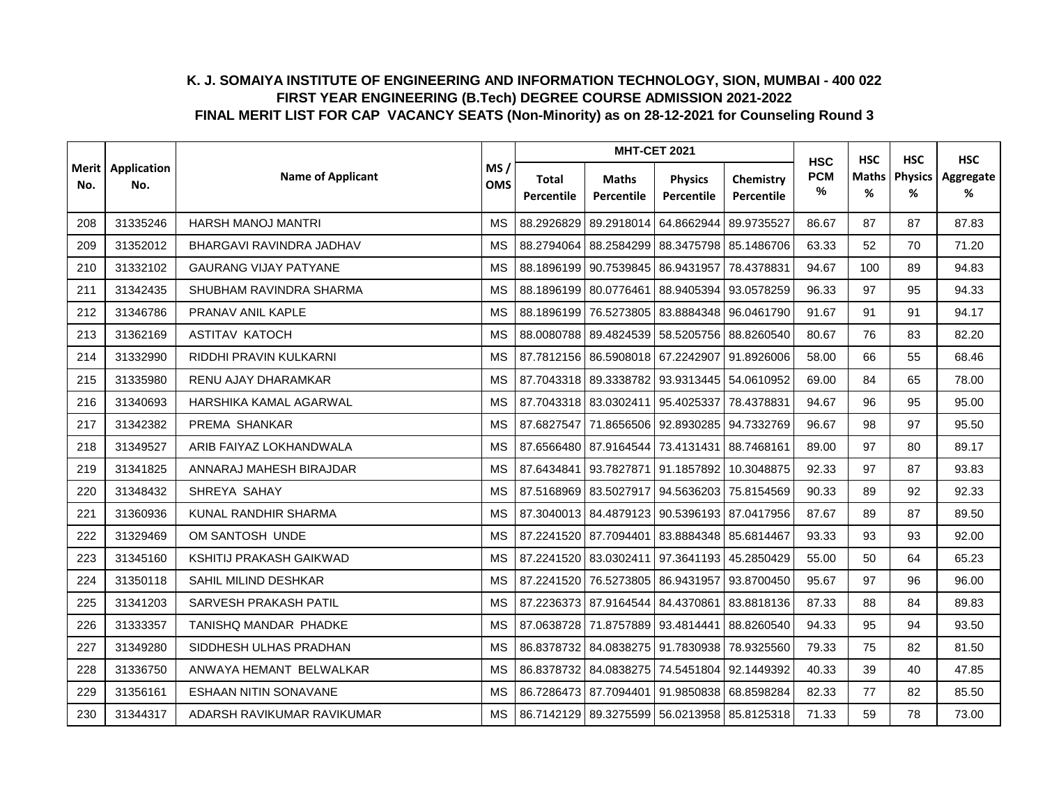|     |                            |                              |                                |                     |                            | <b>MHT-CET 2021</b>                         |                         | <b>HSC</b>         | <b>HSC</b> | <b>HSC</b>          | <b>HSC</b>     |
|-----|----------------------------|------------------------------|--------------------------------|---------------------|----------------------------|---------------------------------------------|-------------------------|--------------------|------------|---------------------|----------------|
| No. | Merit   Application<br>No. | <b>Name of Applicant</b>     | MS/<br><b>OMS</b><br><b>MS</b> | Total<br>Percentile | <b>Maths</b><br>Percentile | <b>Physics</b><br>Percentile                | Chemistry<br>Percentile | <b>PCM</b><br>$\%$ | Maths<br>% | <b>Physics</b><br>% | Aggregate<br>% |
| 208 | 31335246                   | <b>HARSH MANOJ MANTRI</b>    |                                | 88.2926829          | 89.2918014                 | 64.8662944                                  | 89.9735527              | 86.67              | 87         | 87                  | 87.83          |
| 209 | 31352012                   | BHARGAVI RAVINDRA JADHAV     | <b>MS</b>                      | 88.2794064          | 88.2584299                 | 88.3475798 85.1486706                       |                         | 63.33              | 52         | 70                  | 71.20          |
| 210 | 31332102                   | <b>GAURANG VIJAY PATYANE</b> | <b>MS</b>                      | 88.1896199          | 90.7539845                 | 86.9431957                                  | 78.4378831              | 94.67              | 100        | 89                  | 94.83          |
| 211 | 31342435                   | SHUBHAM RAVINDRA SHARMA      | <b>MS</b>                      |                     | 88.1896199 80.0776461      | 88.9405394 93.0578259                       |                         | 96.33              | 97         | 95                  | 94.33          |
| 212 | 31346786                   | PRANAV ANIL KAPLE            | <b>MS</b>                      | 88.1896199          |                            | 76.5273805 83.8884348 96.0461790            |                         | 91.67              | 91         | 91                  | 94.17          |
| 213 | 31362169                   | <b>ASTITAV KATOCH</b>        | <b>MS</b>                      | 88.0080788          |                            | 89.4824539 58.5205756 88.8260540            |                         | 80.67              | 76         | 83                  | 82.20          |
| 214 | 31332990                   | RIDDHI PRAVIN KULKARNI       | <b>MS</b>                      | 87.7812156          | 86.5908018 67.2242907      |                                             | 91.8926006              | 58.00              | 66         | 55                  | 68.46          |
| 215 | 31335980                   | RENU AJAY DHARAMKAR          | <b>MS</b>                      | 87.7043318          |                            | 89.3338782 93.9313445 54.0610952            |                         | 69.00              | 84         | 65                  | 78.00          |
| 216 | 31340693                   | HARSHIKA KAMAL AGARWAL       | <b>MS</b>                      | 87.7043318          | 83.0302411                 | 95.4025337                                  | 78.4378831              | 94.67              | 96         | 95                  | 95.00          |
| 217 | 31342382                   | PREMA SHANKAR                | <b>MS</b>                      | 87.6827547          | 71.8656506                 | 92.8930285 94.7332769                       |                         | 96.67              | 98         | 97                  | 95.50          |
| 218 | 31349527                   | ARIB FAIYAZ LOKHANDWALA      | <b>MS</b>                      |                     |                            | 87.6566480 87.9164544 73.4131431 88.7468161 |                         | 89.00              | 97         | 80                  | 89.17          |
| 219 | 31341825                   | ANNARAJ MAHESH BIRAJDAR      | <b>MS</b>                      | 87.6434841          |                            | 93.7827871 91.1857892 10.3048875            |                         | 92.33              | 97         | 87                  | 93.83          |
| 220 | 31348432                   | SHREYA SAHAY                 | <b>MS</b>                      | 87.5168969          | 83.5027917                 | 94.5636203 75.8154569                       |                         | 90.33              | 89         | 92                  | 92.33          |
| 221 | 31360936                   | KUNAL RANDHIR SHARMA         | <b>MS</b>                      | 87.3040013          | 84.4879123                 | 90.5396193 87.0417956                       |                         | 87.67              | 89         | 87                  | 89.50          |
| 222 | 31329469                   | OM SANTOSH UNDE              | <b>MS</b>                      |                     | 87.2241520 87.7094401      | 83.8884348 85.6814467                       |                         | 93.33              | 93         | 93                  | 92.00          |
| 223 | 31345160                   | KSHITIJ PRAKASH GAIKWAD      | <b>MS</b>                      | 87.2241520          |                            | 83.0302411 97.3641193 45.2850429            |                         | 55.00              | 50         | 64                  | 65.23          |
| 224 | 31350118                   | SAHIL MILIND DESHKAR         | <b>MS</b>                      | 87.2241520          | 76.5273805                 | 86.9431957                                  | 93.8700450              | 95.67              | 97         | 96                  | 96.00          |
| 225 | 31341203                   | SARVESH PRAKASH PATIL        | <b>MS</b>                      |                     |                            | 87.2236373 87.9164544 84.4370861 83.8818136 |                         | 87.33              | 88         | 84                  | 89.83          |
| 226 | 31333357                   | TANISHQ MANDAR PHADKE        | <b>MS</b>                      | 87.0638728          | 71.8757889 93.4814441      |                                             | 88.8260540              | 94.33              | 95         | 94                  | 93.50          |
| 227 | 31349280                   | SIDDHESH ULHAS PRADHAN       | <b>MS</b>                      | 86.8378732          | 84.0838275                 | 91.7830938 78.9325560                       |                         | 79.33              | 75         | 82                  | 81.50          |
| 228 | 31336750                   | ANWAYA HEMANT BELWALKAR      | MS                             | 86.8378732          | 84.0838275                 | 74.5451804 92.1449392                       |                         | 40.33              | 39         | 40                  | 47.85          |
| 229 | 31356161                   | <b>ESHAAN NITIN SONAVANE</b> | <b>MS</b>                      | 86.7286473          | 87.7094401                 | 91.9850838 68.8598284                       |                         | 82.33              | 77         | 82                  | 85.50          |
| 230 | 31344317                   | ADARSH RAVIKUMAR RAVIKUMAR   | <b>MS</b>                      |                     |                            | 86.7142129 89.3275599 56.0213958 85.8125318 |                         | 71.33              | 59         | 78                  | 73.00          |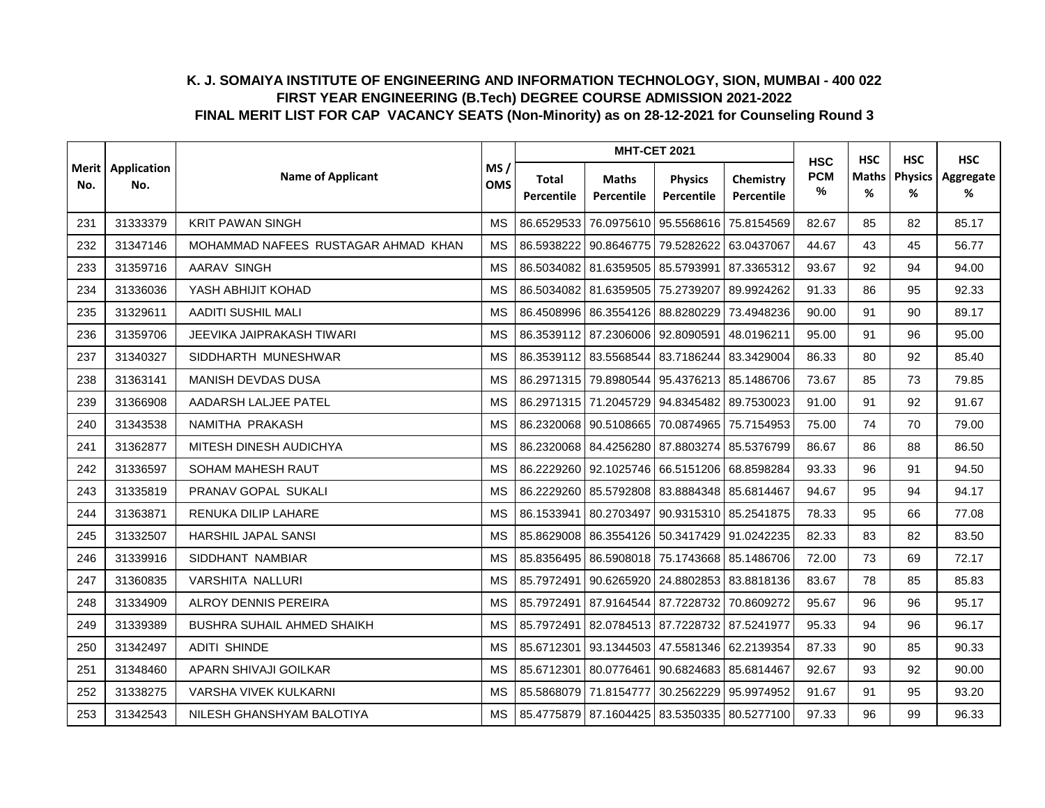|                | Application |                                     |                   |                     |                            | <b>MHT-CET 2021</b>                         |                         | <b>HSC</b>      | <b>HSC</b>        | <b>HSC</b>          | <b>HSC</b>     |
|----------------|-------------|-------------------------------------|-------------------|---------------------|----------------------------|---------------------------------------------|-------------------------|-----------------|-------------------|---------------------|----------------|
| Merit l<br>No. | No.         | <b>Name of Applicant</b>            | MS/<br><b>OMS</b> | Total<br>Percentile | <b>Maths</b><br>Percentile | <b>Physics</b><br>Percentile                | Chemistry<br>Percentile | <b>PCM</b><br>% | <b>Maths</b><br>% | <b>Physics</b><br>% | Aggregate<br>% |
| 231            | 31333379    | <b>KRIT PAWAN SINGH</b>             | <b>MS</b>         | 86.6529533          | 76.0975610                 | 95.5568616                                  | 75.8154569              | 82.67           | 85                | 82                  | 85.17          |
| 232            | 31347146    | MOHAMMAD NAFEES RUSTAGAR AHMAD KHAN | <b>MS</b>         | 86.5938222          | 90.8646775                 | 79.5282622                                  | 63.0437067              | 44.67           | 43                | 45                  | 56.77          |
| 233            | 31359716    | AARAV SINGH                         | <b>MS</b>         | 86.5034082          | 81.6359505                 | 85.5793991                                  | 87.3365312              | 93.67           | 92                | 94                  | 94.00          |
| 234            | 31336036    | YASH ABHIJIT KOHAD                  | <b>MS</b>         |                     |                            | 86.5034082 81.6359505 75.2739207 89.9924262 |                         | 91.33           | 86                | 95                  | 92.33          |
| 235            | 31329611    | <b>AADITI SUSHIL MALI</b>           | MS                |                     |                            | 86.4508996 86.3554126 88.8280229 73.4948236 |                         | 90.00           | 91                | 90                  | 89.17          |
| 236            | 31359706    | JEEVIKA JAIPRAKASH TIWARI           | <b>MS</b>         | 86.3539112          | 87.2306006                 | 92.8090591 48.0196211                       |                         | 95.00           | 91                | 96                  | 95.00          |
| 237            | 31340327    | SIDDHARTH MUNESHWAR                 | <b>MS</b>         | 86.3539112          | 83.5568544                 | 83.7186244 83.3429004                       |                         | 86.33           | 80                | 92                  | 85.40          |
| 238            | 31363141    | MANISH DEVDAS DUSA                  | <b>MS</b>         |                     | 86.2971315 79.8980544      | 95.4376213 85.1486706                       |                         | 73.67           | 85                | 73                  | 79.85          |
| 239            | 31366908    | AADARSH LALJEE PATEL                | <b>MS</b>         |                     | 86.2971315 71.2045729      | 94.8345482 89.7530023                       |                         | 91.00           | 91                | 92                  | 91.67          |
| 240            | 31343538    | NAMITHA PRAKASH                     | <b>MS</b>         | 86.2320068          | 90.5108665                 | 70.0874965 75.7154953                       |                         | 75.00           | 74                | 70                  | 79.00          |
| 241            | 31362877    | MITESH DINESH AUDICHYA              | <b>MS</b>         |                     |                            | 86.2320068 84.4256280 87.8803274 85.5376799 |                         | 86.67           | 86                | 88                  | 86.50          |
| 242            | 31336597    | SOHAM MAHESH RAUT                   | MS                | 86.2229260          |                            | 92.1025746 66.5151206 68.8598284            |                         | 93.33           | 96                | 91                  | 94.50          |
| 243            | 31335819    | PRANAV GOPAL SUKALI                 | <b>MS</b>         | 86.2229260          | 85.5792808                 | 83.8884348 85.6814467                       |                         | 94.67           | 95                | 94                  | 94.17          |
| 244            | 31363871    | RENUKA DILIP LAHARE                 | MS                | 86.1533941          | 80.2703497                 | 90.9315310 85.2541875                       |                         | 78.33           | 95                | 66                  | 77.08          |
| 245            | 31332507    | <b>HARSHIL JAPAL SANSI</b>          | <b>MS</b>         | 85.8629008          |                            | 86.3554126   50.3417429   91.0242235        |                         | 82.33           | 83                | 82                  | 83.50          |
| 246            | 31339916    | SIDDHANT NAMBIAR                    | <b>MS</b>         | 85.8356495          |                            | 86.5908018 75.1743668 85.1486706            |                         | 72.00           | 73                | 69                  | 72.17          |
| 247            | 31360835    | <b>VARSHITA NALLURI</b>             | MS                | 85.7972491          |                            | 90.6265920 24.8802853 83.8818136            |                         | 83.67           | 78                | 85                  | 85.83          |
| 248            | 31334909    | ALROY DENNIS PEREIRA                | MS                | 85.7972491          |                            | 87.9164544 87.7228732 70.8609272            |                         | 95.67           | 96                | 96                  | 95.17          |
| 249            | 31339389    | BUSHRA SUHAIL AHMED SHAIKH          | MS                | 85.7972491          |                            | 82.0784513 87.7228732 87.5241977            |                         | 95.33           | 94                | 96                  | 96.17          |
| 250            | 31342497    | <b>ADITI SHINDE</b>                 | <b>MS</b>         | 85.6712301          | 93.1344503                 | 47.5581346 62.2139354                       |                         | 87.33           | 90                | 85                  | 90.33          |
| 251            | 31348460    | APARN SHIVAJI GOILKAR               | MS                | 85.6712301          | 80.0776461                 | 90.6824683 85.6814467                       |                         | 92.67           | 93                | 92                  | 90.00          |
| 252            | 31338275    | VARSHA VIVEK KULKARNI               | <b>MS</b>         | 85.5868079          | 71.8154777                 |                                             | 30.2562229 95.9974952   | 91.67           | 91                | 95                  | 93.20          |
| 253            | 31342543    | NILESH GHANSHYAM BALOTIYA           | MS                |                     |                            | 85.4775879 87.1604425 83.5350335 80.5277100 |                         | 97.33           | 96                | 99                  | 96.33          |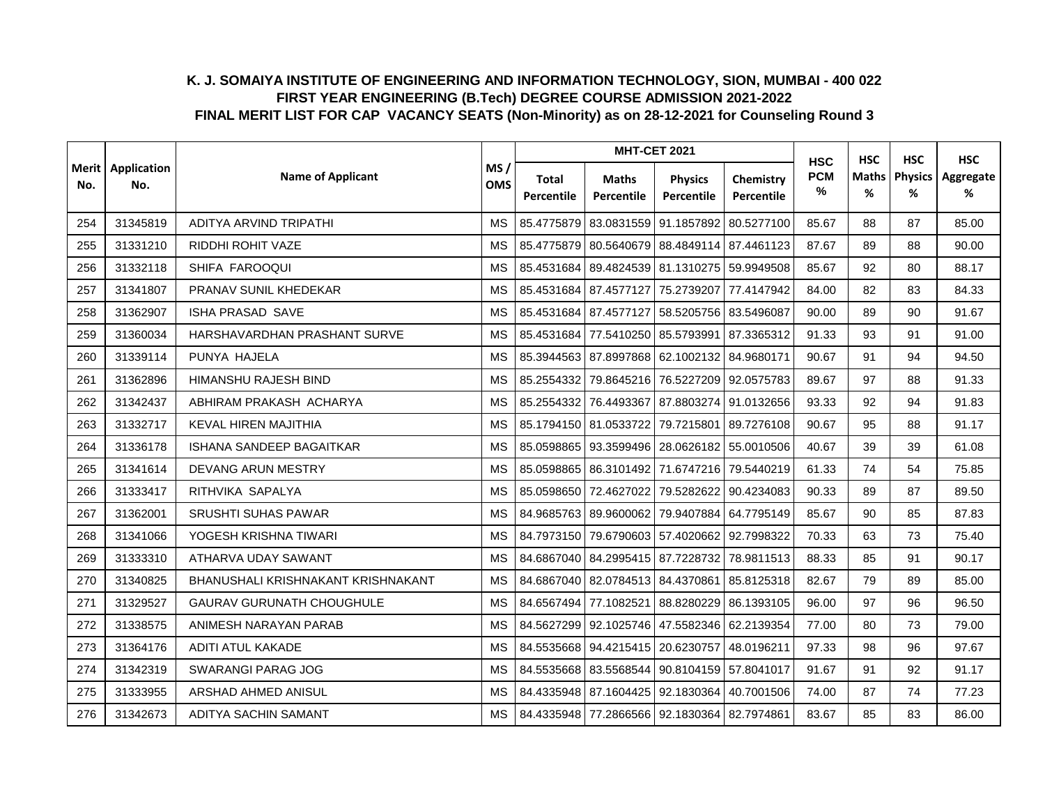|     | Merit   Application |                                    |                                |                     |                            | <b>MHT-CET 2021</b>                               |                         | <b>HSC</b>      | <b>HSC</b> | <b>HSC</b>          | <b>HSC</b>     |
|-----|---------------------|------------------------------------|--------------------------------|---------------------|----------------------------|---------------------------------------------------|-------------------------|-----------------|------------|---------------------|----------------|
| No. | No.                 | <b>Name of Applicant</b>           | MS/<br><b>OMS</b><br><b>MS</b> | Total<br>Percentile | <b>Maths</b><br>Percentile | <b>Physics</b><br>Percentile                      | Chemistry<br>Percentile | <b>PCM</b><br>% | Maths<br>% | <b>Physics</b><br>% | Aggregate<br>% |
| 254 | 31345819            | ADITYA ARVIND TRIPATHI             |                                | 85.4775879          | 83.0831559                 | 91.1857892                                        | 80.5277100              | 85.67           | 88         | 87                  | 85.00          |
| 255 | 31331210            | RIDDHI ROHIT VAZE                  | <b>MS</b>                      | 85.4775879          | 80.5640679                 | 88.4849114 87.4461123                             |                         | 87.67           | 89         | 88                  | 90.00          |
| 256 | 31332118            | SHIFA FAROOQUI                     | <b>MS</b>                      | 85.4531684          |                            | 89.4824539 81.1310275 59.9949508                  |                         | 85.67           | 92         | 80                  | 88.17          |
| 257 | 31341807            | PRANAV SUNIL KHEDEKAR              | <b>MS</b>                      |                     |                            | 85.4531684 87.4577127 75.2739207 77.4147942       |                         | 84.00           | 82         | 83                  | 84.33          |
| 258 | 31362907            | ISHA PRASAD SAVE                   | <b>MS</b>                      |                     |                            | 85.4531684 87.4577127 58.5205756 83.5496087       |                         | 90.00           | 89         | 90                  | 91.67          |
| 259 | 31360034            | HARSHAVARDHAN PRASHANT SURVE       | <b>MS</b>                      | 85.4531684          |                            | 77.5410250 85.5793991 87.3365312                  |                         | 91.33           | 93         | 91                  | 91.00          |
| 260 | 31339114            | PUNYA HAJELA                       | <b>MS</b>                      | 85.3944563          |                            | 87.8997868 62.1002132 84.9680171                  |                         | 90.67           | 91         | 94                  | 94.50          |
| 261 | 31362896            | HIMANSHU RAJESH BIND               | <b>MS</b>                      | 85.2554332          |                            | 79.8645216 76.5227209 92.0575783                  |                         | 89.67           | 97         | 88                  | 91.33          |
| 262 | 31342437            | ABHIRAM PRAKASH ACHARYA            | <b>MS</b>                      | 85.2554332          | 76.4493367                 | 87.8803274 91.0132656                             |                         | 93.33           | 92         | 94                  | 91.83          |
| 263 | 31332717            | KEVAL HIREN MAJITHIA               | <b>MS</b>                      |                     | 85.1794150 81.0533722      | 79.7215801                                        | 89.7276108              | 90.67           | 95         | 88                  | 91.17          |
| 264 | 31336178            | <b>ISHANA SANDEEP BAGAITKAR</b>    | <b>MS</b>                      |                     |                            | 85.0598865   93.3599496   28.0626182   55.0010506 |                         | 40.67           | 39         | 39                  | 61.08          |
| 265 | 31341614            | DEVANG ARUN MESTRY                 | <b>MS</b>                      | 85.0598865          |                            | 86.3101492 71.6747216 79.5440219                  |                         | 61.33           | 74         | 54                  | 75.85          |
| 266 | 31333417            | RITHVIKA SAPALYA                   | <b>MS</b>                      | 85.0598650          | 72.4627022                 | 79.5282622                                        | 90.4234083              | 90.33           | 89         | 87                  | 89.50          |
| 267 | 31362001            | SRUSHTI SUHAS PAWAR                | MS                             | 84.9685763          | 89.9600062                 | 79.9407884 64.7795149                             |                         | 85.67           | 90         | 85                  | 87.83          |
| 268 | 31341066            | YOGESH KRISHNA TIWARI              | <b>MS</b>                      |                     |                            | 84.7973150 79.6790603 57.4020662 92.7998322       |                         | 70.33           | 63         | 73                  | 75.40          |
| 269 | 31333310            | ATHARVA UDAY SAWANT                | <b>MS</b>                      |                     |                            | 84.6867040 84.2995415 87.7228732 78.9811513       |                         | 88.33           | 85         | 91                  | 90.17          |
| 270 | 31340825            | BHANUSHALI KRISHNAKANT KRISHNAKANT | MS                             | 84.6867040          | 82.0784513 84.4370861      |                                                   | 85.8125318              | 82.67           | 79         | 89                  | 85.00          |
| 271 | 31329527            | <b>GAURAV GURUNATH CHOUGHULE</b>   | <b>MS</b>                      |                     |                            | 84.6567494 77.1082521 88.8280229 86.1393105       |                         | 96.00           | 97         | 96                  | 96.50          |
| 272 | 31338575            | ANIMESH NARAYAN PARAB              | <b>MS</b>                      | 84.5627299          |                            | 92.1025746 47.5582346 62.2139354                  |                         | 77.00           | 80         | 73                  | 79.00          |
| 273 | 31364176            | ADITI ATUL KAKADE                  | <b>MS</b>                      | 84.5535668          | 94.4215415 20.6230757      |                                                   | 48.0196211              | 97.33           | 98         | 96                  | 97.67          |
| 274 | 31342319            | SWARANGI PARAG JOG                 | MS                             | 84.5535668          |                            | 83.5568544 90.8104159 57.8041017                  |                         | 91.67           | 91         | 92                  | 91.17          |
| 275 | 31333955            | ARSHAD AHMED ANISUL                | <b>MS</b>                      | 84.4335948          | 87.1604425                 | 92.1830364 40.7001506                             |                         | 74.00           | 87         | 74                  | 77.23          |
| 276 | 31342673            | ADITYA SACHIN SAMANT               | <b>MS</b>                      |                     |                            | 84.4335948 77.2866566 92.1830364 82.7974861       |                         | 83.67           | 85         | 83                  | 86.00          |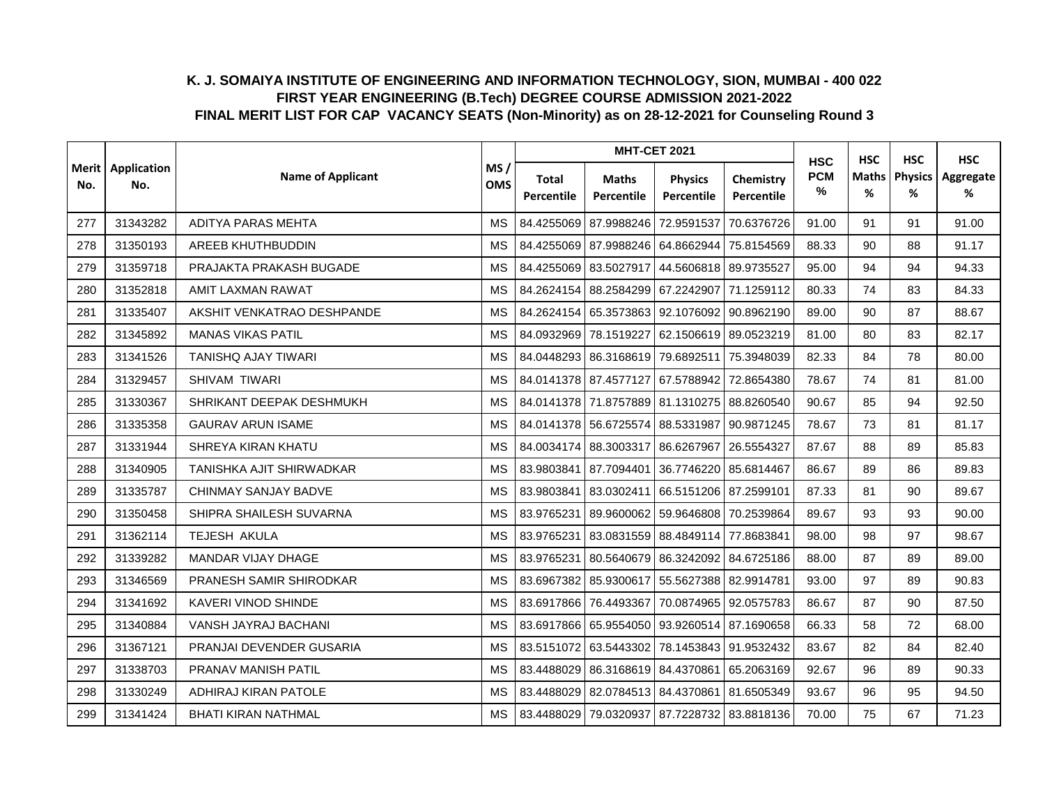|     |                            |                            |                   |                     |                            | <b>MHT-CET 2021</b>                         |                         | <b>HSC</b>         | <b>HSC</b> | <b>HSC</b>                | <b>HSC</b>     |
|-----|----------------------------|----------------------------|-------------------|---------------------|----------------------------|---------------------------------------------|-------------------------|--------------------|------------|---------------------------|----------------|
| No. | Merit   Application<br>No. | <b>Name of Applicant</b>   | MS/<br><b>OMS</b> | Total<br>Percentile | <b>Maths</b><br>Percentile | <b>Physics</b><br>Percentile                | Chemistry<br>Percentile | <b>PCM</b><br>$\%$ | Maths<br>% | <b>Physics</b><br>%<br>91 | Aggregate<br>% |
| 277 | 31343282                   | ADITYA PARAS MEHTA         | <b>MS</b>         | 84.4255069          | 87.9988246                 | 72.9591537                                  | 70.6376726              | 91.00              | 91         |                           | 91.00          |
| 278 | 31350193                   | AREEB KHUTHBUDDIN          | <b>MS</b>         | 84.4255069          | 87.9988246                 | 64.8662944                                  | 75.8154569              | 88.33              | 90         | 88                        | 91.17          |
| 279 | 31359718                   | PRAJAKTA PRAKASH BUGADE    | <b>MS</b>         | 84.4255069          | 83.5027917                 | 44.5606818 89.9735527                       |                         | 95.00              | 94         | 94                        | 94.33          |
| 280 | 31352818                   | AMIT LAXMAN RAWAT          | <b>MS</b>         | 84.2624154          |                            | 88.2584299 67.2242907 71.1259112            |                         | 80.33              | 74         | 83                        | 84.33          |
| 281 | 31335407                   | AKSHIT VENKATRAO DESHPANDE | <b>MS</b>         | 84.2624154          |                            | 65.3573863 92.1076092 90.8962190            |                         | 89.00              | 90         | 87                        | 88.67          |
| 282 | 31345892                   | <b>MANAS VIKAS PATIL</b>   | <b>MS</b>         | 84.0932969          | 78.1519227                 | 62.1506619 89.0523219                       |                         | 81.00              | 80         | 83                        | 82.17          |
| 283 | 31341526                   | <b>TANISHQ AJAY TIWARI</b> | <b>MS</b>         | 84.0448293          | 86.3168619 79.6892511      |                                             | 75.3948039              | 82.33              | 84         | 78                        | 80.00          |
| 284 | 31329457                   | <b>SHIVAM TIWARI</b>       | <b>MS</b>         |                     | 84.0141378 87.4577127      | 67.5788942                                  | 72.8654380              | 78.67              | 74         | 81                        | 81.00          |
| 285 | 31330367                   | SHRIKANT DEEPAK DESHMUKH   | <b>MS</b>         |                     |                            | 84.0141378 71.8757889 81.1310275 88.8260540 |                         | 90.67              | 85         | 94                        | 92.50          |
| 286 | 31335358                   | <b>GAURAV ARUN ISAME</b>   | <b>MS</b>         | 84.0141378          | 56.6725574                 | 88.5331987                                  | 90.9871245              | 78.67              | 73         | 81                        | 81.17          |
| 287 | 31331944                   | SHREYA KIRAN KHATU         | <b>MS</b>         |                     |                            | 84.0034174 88.3003317 86.6267967 26.5554327 |                         | 87.67              | 88         | 89                        | 85.83          |
| 288 | 31340905                   | TANISHKA AJIT SHIRWADKAR   | <b>MS</b>         | 83.9803841          | 87.7094401                 | 36.7746220 85.6814467                       |                         | 86.67              | 89         | 86                        | 89.83          |
| 289 | 31335787                   | CHINMAY SANJAY BADVE       | <b>MS</b>         | 83.9803841          | 83.0302411                 | 66.5151206 87.2599101                       |                         | 87.33              | 81         | 90                        | 89.67          |
| 290 | 31350458                   | SHIPRA SHAILESH SUVARNA    | <b>MS</b>         | 83.9765231          | 89.9600062                 | 59.9646808 70.2539864                       |                         | 89.67              | 93         | 93                        | 90.00          |
| 291 | 31362114                   | TEJESH AKULA               | <b>MS</b>         | 83.9765231          | 83.0831559                 | 88.4849114                                  | 77.8683841              | 98.00              | 98         | 97                        | 98.67          |
| 292 | 31339282                   | MANDAR VIJAY DHAGE         | <b>MS</b>         | 83.9765231          | 80.5640679                 | 86.3242092 84.6725186                       |                         | 88.00              | 87         | 89                        | 89.00          |
| 293 | 31346569                   | PRANESH SAMIR SHIRODKAR    | <b>MS</b>         | 83.6967382          | 85.9300617                 | 55.5627388 82.9914781                       |                         | 93.00              | 97         | 89                        | 90.83          |
| 294 | 31341692                   | KAVERI VINOD SHINDE        | <b>MS</b>         |                     |                            | 83.6917866 76.4493367 70.0874965 92.0575783 |                         | 86.67              | 87         | 90                        | 87.50          |
| 295 | 31340884                   | VANSH JAYRAJ BACHANI       | <b>MS</b>         |                     | 83.6917866 65.9554050      | 93.9260514 87.1690658                       |                         | 66.33              | 58         | 72                        | 68.00          |
| 296 | 31367121                   | PRANJAI DEVENDER GUSARIA   | <b>MS</b>         | 83.5151072          | 63.5443302                 |                                             | 78.1453843 91.9532432   | 83.67              | 82         | 84                        | 82.40          |
| 297 | 31338703                   | PRANAV MANISH PATIL        | MS                | 83.4488029          | 86.3168619 84.4370861      |                                             | 65.2063169              | 92.67              | 96         | 89                        | 90.33          |
| 298 | 31330249                   | ADHIRAJ KIRAN PATOLE       | <b>MS</b>         | 83.4488029          | 82.0784513 84.4370861      |                                             | 81.6505349              | 93.67              | 96         | 95                        | 94.50          |
| 299 | 31341424                   | <b>BHATI KIRAN NATHMAL</b> | <b>MS</b>         |                     |                            | 83.4488029 79.0320937 87.7228732 83.8818136 |                         | 70.00              | 75         | 67                        | 71.23          |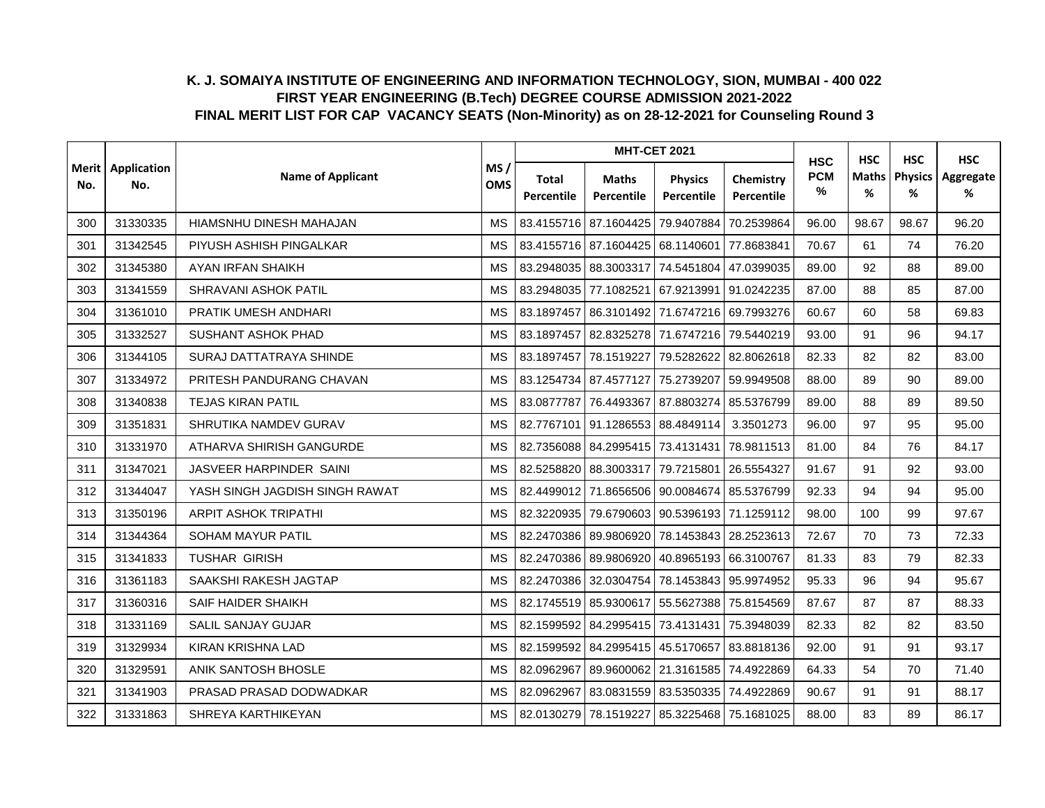|                |                    |                                |                   |                     |                            | <b>MHT-CET 2021</b>                         |                         | <b>HSC</b>         | <b>HSC</b>        | <b>HSC</b>          | <b>HSC</b>     |
|----------------|--------------------|--------------------------------|-------------------|---------------------|----------------------------|---------------------------------------------|-------------------------|--------------------|-------------------|---------------------|----------------|
| Merit l<br>No. | Application<br>No. | <b>Name of Applicant</b>       | MS/<br><b>OMS</b> | Total<br>Percentile | <b>Maths</b><br>Percentile | <b>Physics</b><br>Percentile                | Chemistry<br>Percentile | <b>PCM</b><br>$\%$ | <b>Maths</b><br>% | <b>Physics</b><br>% | Aggregate<br>% |
| 300            | 31330335           | HIAMSNHU DINESH MAHAJAN        | <b>MS</b>         | 83.4155716          | 87.1604425                 | 79.9407884                                  | 70.2539864              | 96.00              | 98.67             | 98.67               | 96.20          |
| 301            | 31342545           | PIYUSH ASHISH PINGALKAR        | <b>MS</b>         | 83.4155716          | 87.1604425                 | 68.1140601 77.8683841                       |                         | 70.67              | 61                | 74                  | 76.20          |
| 302            | 31345380           | AYAN IRFAN SHAIKH              | <b>MS</b>         | 83.2948035          | 88.3003317                 | 74.5451804 47.0399035                       |                         | 89.00              | 92                | 88                  | 89.00          |
| 303            | 31341559           | SHRAVANI ASHOK PATIL           | <b>MS</b>         |                     | 83.2948035 77.1082521      | 67.9213991                                  | 91.0242235              | 87.00              | 88                | 85                  | 87.00          |
| 304            | 31361010           | PRATIK UMESH ANDHARI           | MS                | 83.1897457          |                            | 86.3101492 71.6747216 69.7993276            |                         | 60.67              | 60                | 58                  | 69.83          |
| 305            | 31332527           | <b>SUSHANT ASHOK PHAD</b>      | <b>MS</b>         | 83.1897457          |                            | 82.8325278 71.6747216 79.5440219            |                         | 93.00              | 91                | 96                  | 94.17          |
| 306            | 31344105           | SURAJ DATTATRAYA SHINDE        | <b>MS</b>         | 83.1897457          | 78.1519227                 | 79.5282622 82.8062618                       |                         | 82.33              | 82                | 82                  | 83.00          |
| 307            | 31334972           | PRITESH PANDURANG CHAVAN       | <b>MS</b>         | 83.1254734          | 87.4577127                 |                                             | 75.2739207 59.9949508   | 88.00              | 89                | 90                  | 89.00          |
| 308            | 31340838           | <b>TEJAS KIRAN PATIL</b>       | <b>MS</b>         | 83.0877787          | 76.4493367                 | 87.8803274 85.5376799                       |                         | 89.00              | 88                | 89                  | 89.50          |
| 309            | 31351831           | SHRUTIKA NAMDEV GURAV          | <b>MS</b>         | 82.7767101          | 91.1286553                 | 88.4849114                                  | 3.3501273               | 96.00              | 97                | 95                  | 95.00          |
| 310            | 31331970           | ATHARVA SHIRISH GANGURDE       | MS                |                     |                            | 82.7356088 84.2995415 73.4131431            | 78.9811513              | 81.00              | 84                | 76                  | 84.17          |
| 311            | 31347021           | JASVEER HARPINDER SAINI        | <b>MS</b>         | 82.5258820          | 88.3003317                 | 79.7215801 26.5554327                       |                         | 91.67              | 91                | 92                  | 93.00          |
| 312            | 31344047           | YASH SINGH JAGDISH SINGH RAWAT | <b>MS</b>         | 82.4499012          | 71.8656506                 | 90.0084674 85.5376799                       |                         | 92.33              | 94                | 94                  | 95.00          |
| 313            | 31350196           | <b>ARPIT ASHOK TRIPATHI</b>    | <b>MS</b>         | 82.3220935          |                            | 79.6790603 90.5396193 71.1259112            |                         | 98.00              | 100               | 99                  | 97.67          |
| 314            | 31344364           | SOHAM MAYUR PATIL              | <b>MS</b>         | 82.2470386          | 89.9806920                 |                                             | 78.1453843 28.2523613   | 72.67              | 70                | 73                  | 72.33          |
| 315            | 31341833           | <b>TUSHAR GIRISH</b>           | <b>MS</b>         | 82.2470386          | 89.9806920                 | 40.8965193 66.3100767                       |                         | 81.33              | 83                | 79                  | 82.33          |
| 316            | 31361183           | SAAKSHI RAKESH JAGTAP          | <b>MS</b>         | 82.2470386          | 32.0304754                 | 78.1453843 95.9974952                       |                         | 95.33              | 96                | 94                  | 95.67          |
| 317            | 31360316           | <b>SAIF HAIDER SHAIKH</b>      | <b>MS</b>         |                     |                            | 82.1745519 85.9300617 55.5627388 75.8154569 |                         | 87.67              | 87                | 87                  | 88.33          |
| 318            | 31331169           | SALIL SANJAY GUJAR             | MS                | 82.1599592          |                            | 84.2995415 73.4131431 75.3948039            |                         | 82.33              | 82                | 82                  | 83.50          |
| 319            | 31329934           | <b>KIRAN KRISHNA LAD</b>       | <b>MS</b>         | 82.1599592          | 84.2995415                 |                                             | 45.5170657 83.8818136   | 92.00              | 91                | 91                  | 93.17          |
| 320            | 31329591           | ANIK SANTOSH BHOSLE            | MS                | 82.0962967          |                            | 89.9600062 21.3161585 74.4922869            |                         | 64.33              | 54                | 70                  | 71.40          |
| 321            | 31341903           | PRASAD PRASAD DODWADKAR        | <b>MS</b>         | 82.0962967          | 83.0831559                 | 83.5350335 74.4922869                       |                         | 90.67              | 91                | 91                  | 88.17          |
| 322            | 31331863           | SHREYA KARTHIKEYAN             | <b>MS</b>         |                     | 82.0130279 78.1519227      | 85.3225468 75.1681025                       |                         | 88.00              | 83                | 89                  | 86.17          |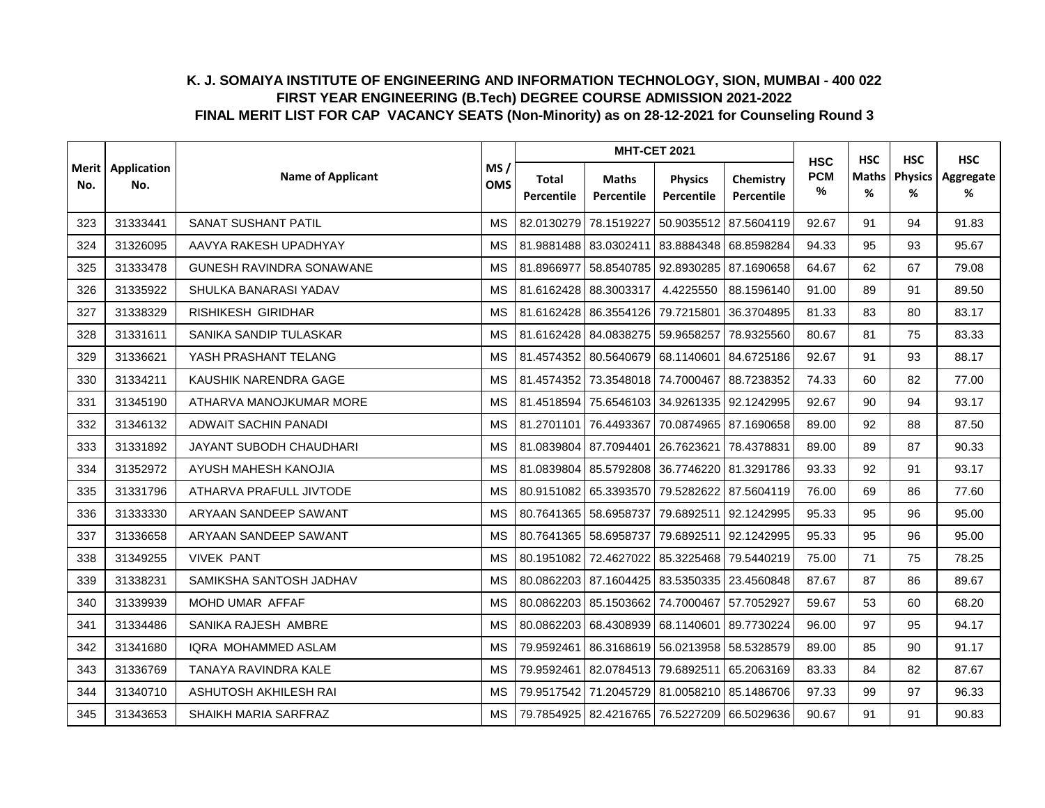|                | Application |                                 |                   |                     | <b>MHT-CET 2021</b>        |                                             |                         | <b>HSC</b>      | <b>HSC</b>        | <b>HSC</b>          | <b>HSC</b>     |
|----------------|-------------|---------------------------------|-------------------|---------------------|----------------------------|---------------------------------------------|-------------------------|-----------------|-------------------|---------------------|----------------|
| Merit l<br>No. | No.         | <b>Name of Applicant</b>        | MS/<br><b>OMS</b> | Total<br>Percentile | <b>Maths</b><br>Percentile | <b>Physics</b><br>Percentile                | Chemistry<br>Percentile | <b>PCM</b><br>% | <b>Maths</b><br>% | <b>Physics</b><br>% | Aggregate<br>% |
| 323            | 31333441    | SANAT SUSHANT PATIL             | <b>MS</b>         | 82.0130279          | 78.1519227                 |                                             | 50.9035512 87.5604119   | 92.67           | 91                | 94                  | 91.83          |
| 324            | 31326095    | AAVYA RAKESH UPADHYAY           | <b>MS</b>         | 81.9881488          | 83.0302411                 | 83.8884348 68.8598284                       |                         | 94.33           | 95                | 93                  | 95.67          |
| 325            | 31333478    | <b>GUNESH RAVINDRA SONAWANE</b> | <b>MS</b>         | 81.8966977          | 58.8540785                 | 92.8930285 87.1690658                       |                         | 64.67           | 62                | 67                  | 79.08          |
| 326            | 31335922    | SHULKA BANARASI YADAV           | <b>MS</b>         |                     | 81.6162428 88.3003317      | 4.4225550                                   | 88.1596140              | 91.00           | 89                | 91                  | 89.50          |
| 327            | 31338329    | RISHIKESH GIRIDHAR              | <b>MS</b>         |                     | 81.6162428 86.3554126      | 79.7215801 36.3704895                       |                         | 81.33           | 83                | 80                  | 83.17          |
| 328            | 31331611    | SANIKA SANDIP TULASKAR          | <b>MS</b>         | 81.6162428          | 84.0838275                 | 59.9658257                                  | 78.9325560              | 80.67           | 81                | 75                  | 83.33          |
| 329            | 31336621    | YASH PRASHANT TELANG            | <b>MS</b>         | 81.4574352          | 80.5640679                 | 68.1140601 84.6725186                       |                         | 92.67           | 91                | 93                  | 88.17          |
| 330            | 31334211    | KAUSHIK NARENDRA GAGE           | MS                | 81.4574352          |                            | 73.3548018 74.7000467 88.7238352            |                         | 74.33           | 60                | 82                  | 77.00          |
| 331            | 31345190    | ATHARVA MANOJKUMAR MORE         | <b>MS</b>         | 81.4518594          |                            | 75.6546103 34.9261335 92.1242995            |                         | 92.67           | 90                | 94                  | 93.17          |
| 332            | 31346132    | ADWAIT SACHIN PANADI            | <b>MS</b>         | 81.2701101          | 76.4493367                 |                                             | 70.0874965 87.1690658   | 89.00           | 92                | 88                  | 87.50          |
| 333            | 31331892    | JAYANT SUBODH CHAUDHARI         | <b>MS</b>         | 81.0839804          |                            | 87.7094401 26.7623621                       | 78.4378831              | 89.00           | 89                | 87                  | 90.33          |
| 334            | 31352972    | AYUSH MAHESH KANOJIA            | MS                | 81.0839804          | 85.5792808                 | 36.7746220 81.3291786                       |                         | 93.33           | 92                | 91                  | 93.17          |
| 335            | 31331796    | ATHARVA PRAFULL JIVTODE         | <b>MS</b>         | 80.9151082          | 65.3393570                 |                                             | 79.5282622 87.5604119   | 76.00           | 69                | 86                  | 77.60          |
| 336            | 31333330    | ARYAAN SANDEEP SAWANT           | MS                | 80.7641365          | 58.6958737                 | 79.6892511                                  | 92.1242995              | 95.33           | 95                | 96                  | 95.00          |
| 337            | 31336658    | ARYAAN SANDEEP SAWANT           | <b>MS</b>         |                     | 80.7641365 58.6958737      |                                             | 79.6892511 92.1242995   | 95.33           | 95                | 96                  | 95.00          |
| 338            | 31349255    | <b>VIVEK PANT</b>               | <b>MS</b>         | 80.1951082          | 72.4627022                 | 85.3225468 79.5440219                       |                         | 75.00           | 71                | 75                  | 78.25          |
| 339            | 31338231    | SAMIKSHA SANTOSH JADHAV         | МS                | 80.0862203          | 87.1604425                 | 83.5350335 23.4560848                       |                         | 87.67           | 87                | 86                  | 89.67          |
| 340            | 31339939    | MOHD UMAR AFFAF                 | <b>MS</b>         |                     |                            | 80.0862203 85.1503662 74.7000467 57.7052927 |                         | 59.67           | 53                | 60                  | 68.20          |
| 341            | 31334486    | SANIKA RAJESH AMBRE             | MS                | 80.0862203          | 68.4308939                 | 68.1140601                                  | 89.7730224              | 96.00           | 97                | 95                  | 94.17          |
| 342            | 31341680    | IQRA MOHAMMED ASLAM             | <b>MS</b>         | 79.9592461          |                            | 86.3168619 56.0213958 58.5328579            |                         | 89.00           | 85                | 90                  | 91.17          |
| 343            | 31336769    | TANAYA RAVINDRA KALE            | MS                | 79.9592461          | 82.0784513 79.6892511      |                                             | 65.2063169              | 83.33           | 84                | 82                  | 87.67          |
| 344            | 31340710    | ASHUTOSH AKHILESH RAI           | <b>MS</b>         | 79.9517542          | 71.2045729                 | 81.0058210 85.1486706                       |                         | 97.33           | 99                | 97                  | 96.33          |
| 345            | 31343653    | SHAIKH MARIA SARFRAZ            | MS                | 79.7854925          |                            | 82.4216765 76.5227209 66.5029636            |                         | 90.67           | 91                | 91                  | 90.83          |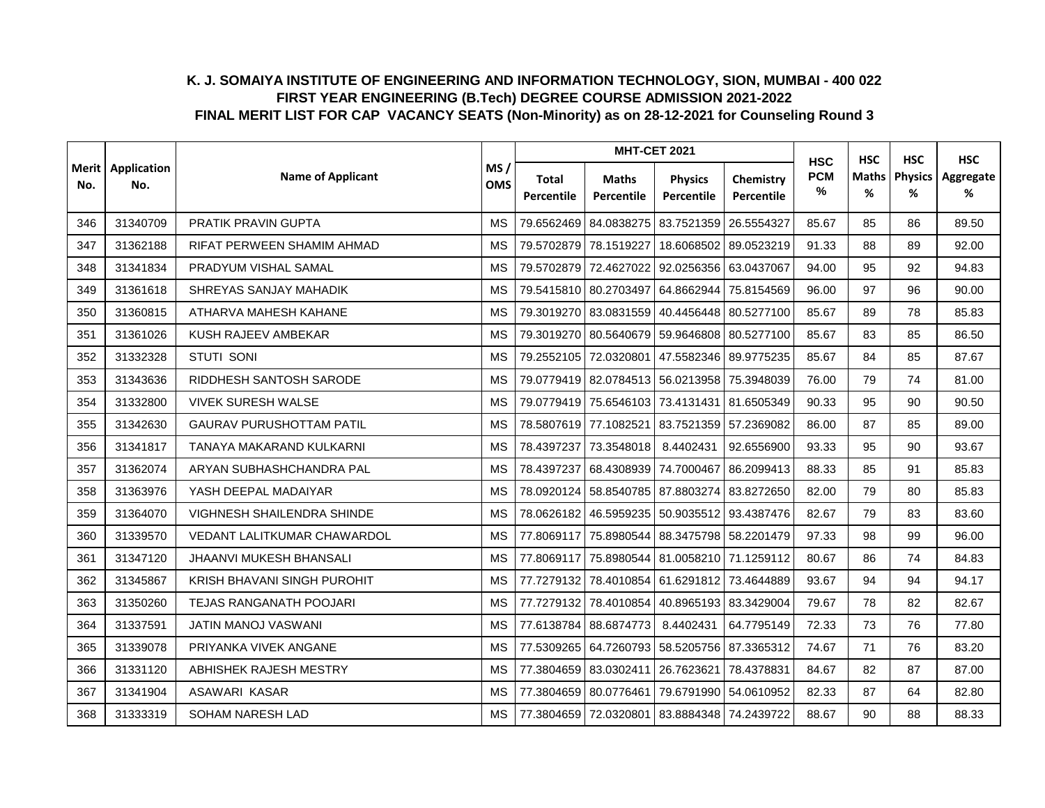|                | Application |                                    |                   |                     | <b>MHT-CET 2021</b>        |                                             |                         | <b>HSC</b>      | <b>HSC</b>        | <b>HSC</b>          | <b>HSC</b>     |
|----------------|-------------|------------------------------------|-------------------|---------------------|----------------------------|---------------------------------------------|-------------------------|-----------------|-------------------|---------------------|----------------|
| Merit l<br>No. | No.         | <b>Name of Applicant</b>           | MS/<br><b>OMS</b> | Total<br>Percentile | <b>Maths</b><br>Percentile | <b>Physics</b><br>Percentile                | Chemistry<br>Percentile | <b>PCM</b><br>% | <b>Maths</b><br>% | <b>Physics</b><br>% | Aggregate<br>% |
| 346            | 31340709    | PRATIK PRAVIN GUPTA                | <b>MS</b>         | 79.6562469          | 84.0838275                 | 83.7521359                                  | 26.5554327              | 85.67           | 85                | 86                  | 89.50          |
| 347            | 31362188    | RIFAT PERWEEN SHAMIM AHMAD         | <b>MS</b>         | 79.5702879          | 78.1519227                 |                                             | 18.6068502 89.0523219   | 91.33           | 88                | 89                  | 92.00          |
| 348            | 31341834    | PRADYUM VISHAL SAMAL               | <b>MS</b>         | 79.5702879          | 72.4627022                 | 92.0256356 63.0437067                       |                         | 94.00           | 95                | 92                  | 94.83          |
| 349            | 31361618    | SHREYAS SANJAY MAHADIK             | <b>MS</b>         |                     | 79.5415810 80.2703497      | 64.8662944 75.8154569                       |                         | 96.00           | 97                | 96                  | 90.00          |
| 350            | 31360815    | ATHARVA MAHESH KAHANE              | <b>MS</b>         | 79.3019270          |                            | 83.0831559 40.4456448 80.5277100            |                         | 85.67           | 89                | 78                  | 85.83          |
| 351            | 31361026    | KUSH RAJEEV AMBEKAR                | <b>MS</b>         | 79.3019270          | 80.5640679                 | 59.9646808 80.5277100                       |                         | 85.67           | 83                | 85                  | 86.50          |
| 352            | 31332328    | <b>STUTI SONI</b>                  | <b>MS</b>         | 79.2552105          | 72.0320801                 |                                             | 47.5582346 89.9775235   | 85.67           | 84                | 85                  | 87.67          |
| 353            | 31343636    | RIDDHESH SANTOSH SARODE            | <b>MS</b>         |                     |                            | 79.0779419 82.0784513 56.0213958 75.3948039 |                         | 76.00           | 79                | 74                  | 81.00          |
| 354            | 31332800    | <b>VIVEK SURESH WALSE</b>          | <b>MS</b>         | 79.0779419          |                            | 75.6546103 73.4131431 81.6505349            |                         | 90.33           | 95                | 90                  | 90.50          |
| 355            | 31342630    | <b>GAURAV PURUSHOTTAM PATIL</b>    | <b>MS</b>         |                     | 78.5807619 77.1082521      | 83.7521359 57.2369082                       |                         | 86.00           | 87                | 85                  | 89.00          |
| 356            | 31341817    | TANAYA MAKARAND KULKARNI           | MS                | 78.4397237          | 73.3548018                 | 8.4402431                                   | 92.6556900              | 93.33           | 95                | 90                  | 93.67          |
| 357            | 31362074    | ARYAN SUBHASHCHANDRA PAL           | <b>MS</b>         | 78.4397237          |                            | 68.4308939 74.7000467                       | 86.2099413              | 88.33           | 85                | 91                  | 85.83          |
| 358            | 31363976    | YASH DEEPAL MADAIYAR               | <b>MS</b>         | 78.0920124          | 58.8540785                 | 87.8803274 83.8272650                       |                         | 82.00           | 79                | 80                  | 85.83          |
| 359            | 31364070    | <b>VIGHNESH SHAILENDRA SHINDE</b>  | <b>MS</b>         | 78.0626182          | 46.5959235                 |                                             | 50.9035512 93.4387476   | 82.67           | 79                | 83                  | 83.60          |
| 360            | 31339570    | <b>VEDANT LALITKUMAR CHAWARDOL</b> | <b>MS</b>         | 77.8069117          | 75.8980544                 | 88.3475798 58.2201479                       |                         | 97.33           | 98                | 99                  | 96.00          |
| 361            | 31347120    | JHAANVI MUKESH BHANSALI            | <b>MS</b>         | 77.8069117          |                            | 75.8980544 81.0058210 71.1259112            |                         | 80.67           | 86                | 74                  | 84.83          |
| 362            | 31345867    | KRISH BHAVANI SINGH PUROHIT        | <b>MS</b>         | 77.7279132          |                            | 78.4010854 61.6291812 73.4644889            |                         | 93.67           | 94                | 94                  | 94.17          |
| 363            | 31350260    | <b>TEJAS RANGANATH POOJARI</b>     | MS                |                     |                            | 77.7279132 78.4010854 40.8965193 83.3429004 |                         | 79.67           | 78                | 82                  | 82.67          |
| 364            | 31337591    | JATIN MANOJ VASWANI                | <b>MS</b>         | 77.6138784          | 88.6874773                 | 8.4402431                                   | 64.7795149              | 72.33           | 73                | 76                  | 77.80          |
| 365            | 31339078    | PRIYANKA VIVEK ANGANE              | <b>MS</b>         | 77.5309265          | 64.7260793                 | 58.5205756 87.3365312                       |                         | 74.67           | 71                | 76                  | 83.20          |
| 366            | 31331120    | ABHISHEK RAJESH MESTRY             | MS                | 77.3804659          |                            | 83.0302411 26.7623621                       | 78.4378831              | 84.67           | 82                | 87                  | 87.00          |
| 367            | 31341904    | ASAWARI KASAR                      | <b>MS</b>         | 77.3804659          | 80.0776461                 |                                             | 79.6791990 54.0610952   | 82.33           | 87                | 64                  | 82.80          |
| 368            | 31333319    | SOHAM NARESH LAD                   | <b>MS</b>         |                     |                            | 77.3804659 72.0320801 83.8884348 74.2439722 |                         | 88.67           | 90                | 88                  | 88.33          |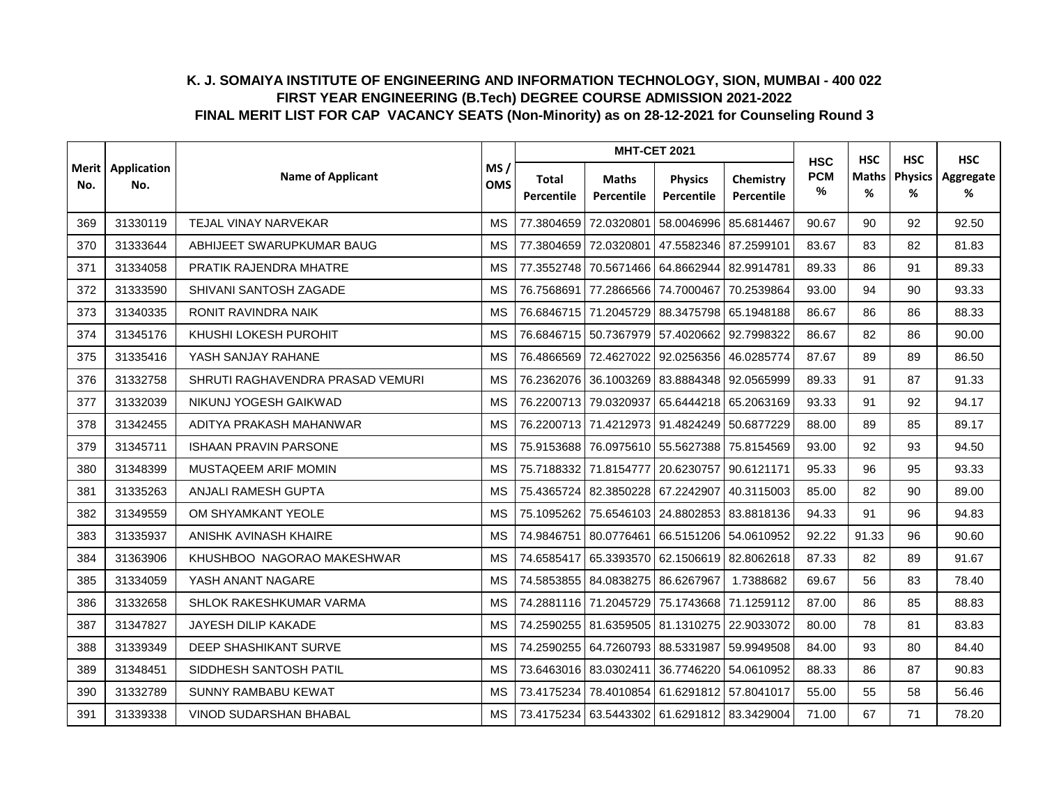|                |                    |                                  |                   |                     |                            | <b>MHT-CET 2021</b>                         |                         | <b>HSC</b>         | <b>HSC</b>        | <b>HSC</b>                | <b>HSC</b>     |
|----------------|--------------------|----------------------------------|-------------------|---------------------|----------------------------|---------------------------------------------|-------------------------|--------------------|-------------------|---------------------------|----------------|
| Merit l<br>No. | Application<br>No. | <b>Name of Applicant</b>         | MS/<br><b>OMS</b> | Total<br>Percentile | <b>Maths</b><br>Percentile | <b>Physics</b><br>Percentile                | Chemistry<br>Percentile | <b>PCM</b><br>$\%$ | <b>Maths</b><br>% | <b>Physics</b><br>%<br>92 | Aggregate<br>% |
| 369            | 31330119           | TEJAL VINAY NARVEKAR             | <b>MS</b>         | 77.3804659          | 72.0320801                 | 58.0046996                                  | 85.6814467              | 90.67              | 90                |                           | 92.50          |
| 370            | 31333644           | ABHIJEET SWARUPKUMAR BAUG        | <b>MS</b>         | 77.3804659          | 72.0320801                 | 47.5582346 87.2599101                       |                         | 83.67              | 83                | 82                        | 81.83          |
| 371            | 31334058           | PRATIK RAJENDRA MHATRE           | <b>MS</b>         | 77.3552748          | 70.5671466                 | 64.8662944 82.9914781                       |                         | 89.33              | 86                | 91                        | 89.33          |
| 372            | 31333590           | SHIVANI SANTOSH ZAGADE           | <b>MS</b>         | 76.7568691          |                            | 77.2866566 74.7000467 70.2539864            |                         | 93.00              | 94                | 90                        | 93.33          |
| 373            | 31340335           | RONIT RAVINDRA NAIK              | MS                |                     |                            | 76.6846715 71.2045729 88.3475798 65.1948188 |                         | 86.67              | 86                | 86                        | 88.33          |
| 374            | 31345176           | KHUSHI LOKESH PUROHIT            | <b>MS</b>         |                     | 76.6846715 50.7367979      | 57.4020662 92.7998322                       |                         | 86.67              | 82                | 86                        | 90.00          |
| 375            | 31335416           | YASH SANJAY RAHANE               | <b>MS</b>         | 76.4866569          | 72.4627022                 | 92.0256356 46.0285774                       |                         | 87.67              | 89                | 89                        | 86.50          |
| 376            | 31332758           | SHRUTI RAGHAVENDRA PRASAD VEMURI | <b>MS</b>         | 76.2362076          | 36.1003269                 | 83.8884348 92.0565999                       |                         | 89.33              | 91                | 87                        | 91.33          |
| 377            | 31332039           | NIKUNJ YOGESH GAIKWAD            | <b>MS</b>         |                     | 76.2200713 79.0320937      | 65.6444218 65.2063169                       |                         | 93.33              | 91                | 92                        | 94.17          |
| 378            | 31342455           | ADITYA PRAKASH MAHANWAR          | <b>MS</b>         |                     | 76.2200713 71.4212973      | 91.4824249 50.6877229                       |                         | 88.00              | 89                | 85                        | 89.17          |
| 379            | 31345711           | <b>ISHAAN PRAVIN PARSONE</b>     | <b>MS</b>         |                     |                            | 75.9153688 76.0975610 55.5627388 75.8154569 |                         | 93.00              | 92                | 93                        | 94.50          |
| 380            | 31348399           | MUSTAQEEM ARIF MOMIN             | <b>MS</b>         |                     | 75.7188332 71.8154777      | 20.6230757 90.6121171                       |                         | 95.33              | 96                | 95                        | 93.33          |
| 381            | 31335263           | ANJALI RAMESH GUPTA              | <b>MS</b>         | 75.4365724          | 82.3850228                 | 67.2242907 40.3115003                       |                         | 85.00              | 82                | 90                        | 89.00          |
| 382            | 31349559           | OM SHYAMKANT YEOLE               | <b>MS</b>         | 75.1095262          |                            | 75.6546103 24.8802853 83.8818136            |                         | 94.33              | 91                | 96                        | 94.83          |
| 383            | 31335937           | ANISHK AVINASH KHAIRE            | <b>MS</b>         | 74.9846751          | 80.0776461                 | 66.5151206 54.0610952                       |                         | 92.22              | 91.33             | 96                        | 90.60          |
| 384            | 31363906           | KHUSHBOO NAGORAO MAKESHWAR       | <b>MS</b>         | 74.6585417          | 65.3393570                 | 62.1506619 82.8062618                       |                         | 87.33              | 82                | 89                        | 91.67          |
| 385            | 31334059           | YASH ANANT NAGARE                | <b>MS</b>         | 74.5853855          | 84.0838275                 | 86.6267967                                  | 1.7388682               | 69.67              | 56                | 83                        | 78.40          |
| 386            | 31332658           | SHLOK RAKESHKUMAR VARMA          | <b>MS</b>         |                     |                            | 74.2881116 71.2045729 75.1743668 71.1259112 |                         | 87.00              | 86                | 85                        | 88.83          |
| 387            | 31347827           | JAYESH DILIP KAKADE              | MS                | 74.2590255          | 81.6359505                 | 81.1310275 22.9033072                       |                         | 80.00              | 78                | 81                        | 83.83          |
| 388            | 31339349           | DEEP SHASHIKANT SURVE            | <b>MS</b>         | 74.2590255          | 64.7260793                 | 88.5331987 59.9949508                       |                         | 84.00              | 93                | 80                        | 84.40          |
| 389            | 31348451           | SIDDHESH SANTOSH PATIL           | MS                | 73.6463016          | 83.0302411                 |                                             | 36.7746220 54.0610952   | 88.33              | 86                | 87                        | 90.83          |
| 390            | 31332789           | SUNNY RAMBABU KEWAT              | <b>MS</b>         | 73.4175234          | 78.4010854                 | 61.6291812 57.8041017                       |                         | 55.00              | 55                | 58                        | 56.46          |
| 391            | 31339338           | VINOD SUDARSHAN BHABAL           | <b>MS</b>         |                     |                            | 73.4175234 63.5443302 61.6291812 83.3429004 |                         | 71.00              | 67                | 71                        | 78.20          |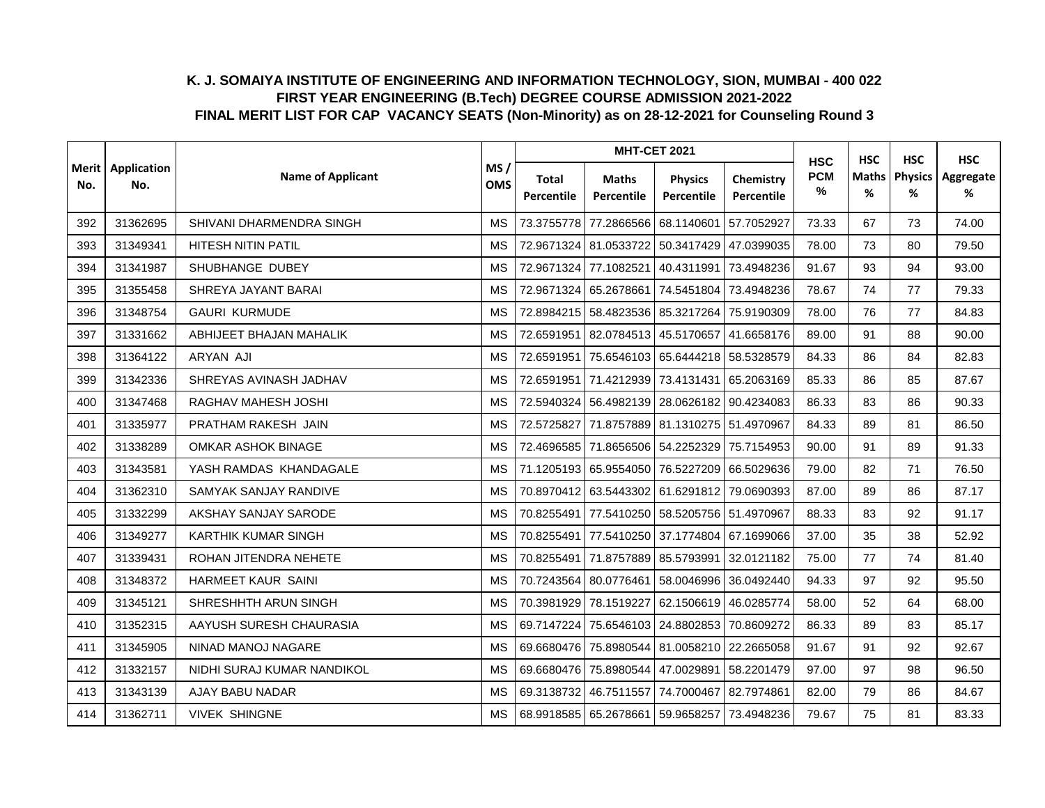|     | Merit   Application |                            |                   |                     |                            | <b>MHT-CET 2021</b>                         |                         | <b>HSC</b>      | <b>HSC</b> | <b>HSC</b>                | <b>HSC</b>     |
|-----|---------------------|----------------------------|-------------------|---------------------|----------------------------|---------------------------------------------|-------------------------|-----------------|------------|---------------------------|----------------|
| No. | No.                 | <b>Name of Applicant</b>   | MS/<br><b>OMS</b> | Total<br>Percentile | <b>Maths</b><br>Percentile | <b>Physics</b><br>Percentile                | Chemistry<br>Percentile | <b>PCM</b><br>% | Maths<br>% | <b>Physics</b><br>%<br>73 | Aggregate<br>% |
| 392 | 31362695            | SHIVANI DHARMENDRA SINGH   | <b>MS</b>         | 73.3755778          | 77.2866566                 | 68.1140601                                  | 57.7052927              | 73.33           | 67         |                           | 74.00          |
| 393 | 31349341            | <b>HITESH NITIN PATIL</b>  | <b>MS</b>         | 72.9671324          | 81.0533722                 | 50.3417429 47.0399035                       |                         | 78.00           | 73         | 80                        | 79.50          |
| 394 | 31341987            | SHUBHANGE DUBEY            | <b>MS</b>         | 72.9671324          | 77.1082521                 |                                             | 40.4311991 73.4948236   | 91.67           | 93         | 94                        | 93.00          |
| 395 | 31355458            | SHREYA JAYANT BARAI        | <b>MS</b>         | 72.9671324          | 65.2678661                 | 74.5451804 73.4948236                       |                         | 78.67           | 74         | 77                        | 79.33          |
| 396 | 31348754            | <b>GAURI KURMUDE</b>       | <b>MS</b>         |                     |                            | 72.8984215 58.4823536 85.3217264 75.9190309 |                         | 78.00           | 76         | 77                        | 84.83          |
| 397 | 31331662            | ABHIJEET BHAJAN MAHALIK    | <b>MS</b>         | 72.6591951          |                            | 82.0784513 45.5170657 41.6658176            |                         | 89.00           | 91         | 88                        | 90.00          |
| 398 | 31364122            | <b>ARYAN AJI</b>           | <b>MS</b>         | 72.6591951          |                            | 75.6546103 65.6444218 58.5328579            |                         | 84.33           | 86         | 84                        | 82.83          |
| 399 | 31342336            | SHREYAS AVINASH JADHAV     | <b>MS</b>         | 72.6591951          |                            | 71.4212939 73.4131431                       | 65.2063169              | 85.33           | 86         | 85                        | 87.67          |
| 400 | 31347468            | <b>RAGHAV MAHESH JOSHI</b> | <b>MS</b>         | 72.5940324          |                            | 56.4982139 28.0626182 90.4234083            |                         | 86.33           | 83         | 86                        | 90.33          |
| 401 | 31335977            | PRATHAM RAKESH JAIN        | <b>MS</b>         | 72.5725827          |                            | 71.8757889 81.1310275 51.4970967            |                         | 84.33           | 89         | 81                        | 86.50          |
| 402 | 31338289            | <b>OMKAR ASHOK BINAGE</b>  | <b>MS</b>         |                     |                            | 72.4696585 71.8656506 54.2252329 75.7154953 |                         | 90.00           | 91         | 89                        | 91.33          |
| 403 | 31343581            | YASH RAMDAS KHANDAGALE     | MS                |                     |                            | 71.1205193 65.9554050 76.5227209 66.5029636 |                         | 79.00           | 82         | 71                        | 76.50          |
| 404 | 31362310            | SAMYAK SANJAY RANDIVE      | <b>MS</b>         | 70.8970412          | 63.5443302                 | 61.6291812 79.0690393                       |                         | 87.00           | 89         | 86                        | 87.17          |
| 405 | 31332299            | AKSHAY SANJAY SARODE       | <b>MS</b>         | 70.8255491          |                            | 77.5410250 58.5205756 51.4970967            |                         | 88.33           | 83         | 92                        | 91.17          |
| 406 | 31349277            | <b>KARTHIK KUMAR SINGH</b> | <b>MS</b>         | 70.8255491          |                            | 77.5410250 37.1774804 67.1699066            |                         | 37.00           | 35         | 38                        | 52.92          |
| 407 | 31339431            | ROHAN JITENDRA NEHETE      | <b>MS</b>         | 70.8255491          | 71.8757889 85.5793991      |                                             | 32.0121182              | 75.00           | 77         | 74                        | 81.40          |
| 408 | 31348372            | <b>HARMEET KAUR SAINI</b>  | <b>MS</b>         | 70.7243564          | 80.0776461                 | 58.0046996 36.0492440                       |                         | 94.33           | 97         | 92                        | 95.50          |
| 409 | 31345121            | SHRESHHTH ARUN SINGH       | <b>MS</b>         |                     | 70.3981929 78.1519227      | 62.1506619 46.0285774                       |                         | 58.00           | 52         | 64                        | 68.00          |
| 410 | 31352315            | AAYUSH SURESH CHAURASIA    | <b>MS</b>         | 69.7147224          |                            | 75.6546103 24.8802853 70.8609272            |                         | 86.33           | 89         | 83                        | 85.17          |
| 411 | 31345905            | NINAD MANOJ NAGARE         | <b>MS</b>         | 69.6680476          | 75.8980544                 | 81.0058210 22.2665058                       |                         | 91.67           | 91         | 92                        | 92.67          |
| 412 | 31332157            | NIDHI SURAJ KUMAR NANDIKOL | MS                | 69.6680476          | 75.8980544 47.0029891      |                                             | 58.2201479              | 97.00           | 97         | 98                        | 96.50          |
| 413 | 31343139            | AJAY BABU NADAR            | <b>MS</b>         | 69.3138732          | 46.7511557                 | 74.7000467                                  | 82.7974861              | 82.00           | 79         | 86                        | 84.67          |
| 414 | 31362711            | <b>VIVEK SHINGNE</b>       | <b>MS</b>         |                     |                            | 68.9918585 65.2678661 59.9658257 73.4948236 |                         | 79.67           | 75         | 81                        | 83.33          |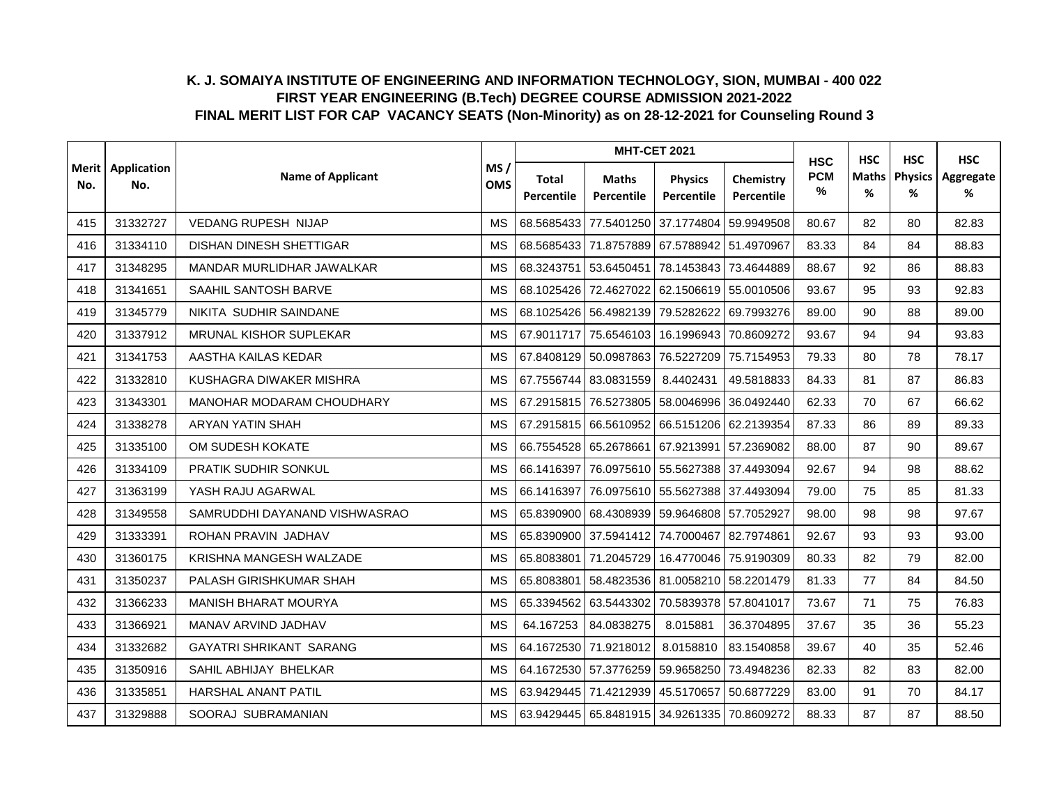|                |                    |                                |                   |                     |                            | <b>MHT-CET 2021</b>                         |                         | <b>HSC</b>         | <b>HSC</b>        | <b>HSC</b>          | <b>HSC</b>     |
|----------------|--------------------|--------------------------------|-------------------|---------------------|----------------------------|---------------------------------------------|-------------------------|--------------------|-------------------|---------------------|----------------|
| Merit l<br>No. | Application<br>No. | <b>Name of Applicant</b>       | MS/<br><b>OMS</b> | Total<br>Percentile | <b>Maths</b><br>Percentile | <b>Physics</b><br>Percentile                | Chemistry<br>Percentile | <b>PCM</b><br>$\%$ | <b>Maths</b><br>% | <b>Physics</b><br>% | Aggregate<br>% |
| 415            | 31332727           | <b>VEDANG RUPESH NIJAP</b>     | <b>MS</b>         | 68.5685433          | 77.5401250                 |                                             | 37.1774804 59.9949508   | 80.67              | 82                | 80                  | 82.83          |
| 416            | 31334110           | <b>DISHAN DINESH SHETTIGAR</b> | <b>MS</b>         |                     | 68.5685433 71.8757889      | 67.5788942 51.4970967                       |                         | 83.33              | 84                | 84                  | 88.83          |
| 417            | 31348295           | MANDAR MURLIDHAR JAWALKAR      | <b>MS</b>         | 68.3243751          | 53.6450451                 | 78.1453843 73.4644889                       |                         | 88.67              | 92                | 86                  | 88.83          |
| 418            | 31341651           | SAAHIL SANTOSH BARVE           | <b>MS</b>         | 68.1025426          | 72.4627022                 | 62.1506619 55.0010506                       |                         | 93.67              | 95                | 93                  | 92.83          |
| 419            | 31345779           | NIKITA SUDHIR SAINDANE         | MS                |                     |                            | 68.1025426 56.4982139 79.5282622 69.7993276 |                         | 89.00              | 90                | 88                  | 89.00          |
| 420            | 31337912           | MRUNAL KISHOR SUPLEKAR         | <b>MS</b>         | 67.9011717          | 75.6546103                 | 16.1996943 70.8609272                       |                         | 93.67              | 94                | 94                  | 93.83          |
| 421            | 31341753           | AASTHA KAILAS KEDAR            | <b>MS</b>         | 67.8408129          | 50.0987863                 |                                             | 76.5227209 75.7154953   | 79.33              | 80                | 78                  | 78.17          |
| 422            | 31332810           | KUSHAGRA DIWAKER MISHRA        | <b>MS</b>         | 67.7556744          | 83.0831559                 | 8.4402431                                   | 49.5818833              | 84.33              | 81                | 87                  | 86.83          |
| 423            | 31343301           | MANOHAR MODARAM CHOUDHARY      | <b>MS</b>         |                     | 67.2915815 76.5273805      | 58.0046996                                  | 36.0492440              | 62.33              | 70                | 67                  | 66.62          |
| 424            | 31338278           | ARYAN YATIN SHAH               | <b>MS</b>         | 67.2915815          | 66.5610952                 | 66.5151206 62.2139354                       |                         | 87.33              | 86                | 89                  | 89.33          |
| 425            | 31335100           | OM SUDESH KOKATE               | MS                |                     | 66.7554528 65.2678661      | 67.9213991                                  | 57.2369082              | 88.00              | 87                | 90                  | 89.67          |
| 426            | 31334109           | PRATIK SUDHIR SONKUL           | <b>MS</b>         | 66.1416397          |                            | 76.0975610 55.5627388 37.4493094            |                         | 92.67              | 94                | 98                  | 88.62          |
| 427            | 31363199           | YASH RAJU AGARWAL              | <b>MS</b>         | 66.1416397          |                            | 76.0975610 55.5627388 37.4493094            |                         | 79.00              | 75                | 85                  | 81.33          |
| 428            | 31349558           | SAMRUDDHI DAYANAND VISHWASRAO  | <b>MS</b>         | 65.8390900          |                            | 68.4308939 59.9646808 57.7052927            |                         | 98.00              | 98                | 98                  | 97.67          |
| 429            | 31333391           | ROHAN PRAVIN JADHAV            | <b>MS</b>         | 65.8390900          |                            | 37.5941412 74.7000467 82.7974861            |                         | 92.67              | 93                | 93                  | 93.00          |
| 430            | 31360175           | KRISHNA MANGESH WALZADE        | <b>MS</b>         | 65.8083801          | 71.2045729                 | 16.4770046 75.9190309                       |                         | 80.33              | 82                | 79                  | 82.00          |
| 431            | 31350237           | PALASH GIRISHKUMAR SHAH        | <b>MS</b>         | 65.8083801          |                            | 58.4823536 81.0058210 58.2201479            |                         | 81.33              | 77                | 84                  | 84.50          |
| 432            | 31366233           | <b>MANISH BHARAT MOURYA</b>    | <b>MS</b>         |                     |                            | 65.3394562 63.5443302 70.5839378 57.8041017 |                         | 73.67              | 71                | 75                  | 76.83          |
| 433            | 31366921           | MANAV ARVIND JADHAV            | <b>MS</b>         | 64.167253           | 84.0838275                 | 8.015881                                    | 36.3704895              | 37.67              | 35                | 36                  | 55.23          |
| 434            | 31332682           | <b>GAYATRI SHRIKANT SARANG</b> | <b>MS</b>         | 64.1672530          | 71.9218012                 | 8.0158810                                   | 83.1540858              | 39.67              | 40                | 35                  | 52.46          |
| 435            | 31350916           | SAHIL ABHIJAY BHELKAR          | MS                | 64.1672530          | 57.3776259                 | 59.9658250                                  | 73.4948236              | 82.33              | 82                | 83                  | 82.00          |
| 436            | 31335851           | HARSHAL ANANT PATIL            | <b>MS</b>         | 63.9429445          | 71.4212939                 | 45.5170657 50.6877229                       |                         | 83.00              | 91                | 70                  | 84.17          |
| 437            | 31329888           | SOORAJ SUBRAMANIAN             | <b>MS</b>         |                     |                            | 63.9429445 65.8481915 34.9261335 70.8609272 |                         | 88.33              | 87                | 87                  | 88.50          |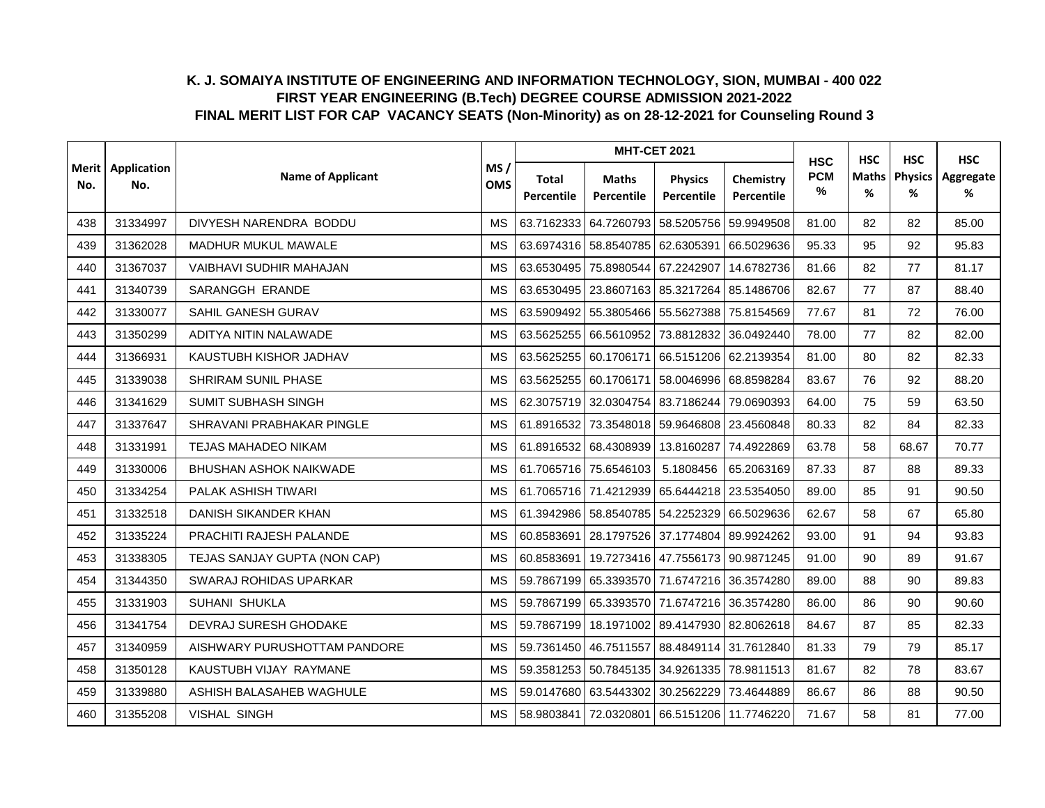|                |                    |                              |                   |                     |                            | <b>MHT-CET 2021</b>                               |                         | <b>HSC</b>         | <b>HSC</b>        | <b>HSC</b>                | <b>HSC</b>     |
|----------------|--------------------|------------------------------|-------------------|---------------------|----------------------------|---------------------------------------------------|-------------------------|--------------------|-------------------|---------------------------|----------------|
| Merit l<br>No. | Application<br>No. | <b>Name of Applicant</b>     | MS/<br><b>OMS</b> | Total<br>Percentile | <b>Maths</b><br>Percentile | <b>Physics</b><br>Percentile                      | Chemistry<br>Percentile | <b>PCM</b><br>$\%$ | <b>Maths</b><br>% | <b>Physics</b><br>%<br>82 | Aggregate<br>% |
| 438            | 31334997           | DIVYESH NARENDRA BODDU       | <b>MS</b>         | 63.7162333          | 64.7260793                 | 58.5205756                                        | 59.9949508              | 81.00              | 82                |                           | 85.00          |
| 439            | 31362028           | <b>MADHUR MUKUL MAWALE</b>   | <b>MS</b>         |                     | 63.6974316 58.8540785      | 62.6305391 66.5029636                             |                         | 95.33              | 95                | 92                        | 95.83          |
| 440            | 31367037           | VAIBHAVI SUDHIR MAHAJAN      | <b>MS</b>         | 63.6530495          | 75.8980544                 | 67.2242907                                        | 14.6782736              | 81.66              | 82                | 77                        | 81.17          |
| 441            | 31340739           | SARANGGH ERANDE              | <b>MS</b>         |                     |                            | 63.6530495   23.8607163   85.3217264   85.1486706 |                         | 82.67              | 77                | 87                        | 88.40          |
| 442            | 31330077           | SAHIL GANESH GURAV           | MS                |                     |                            | 63.5909492 55.3805466 55.5627388 75.8154569       |                         | 77.67              | 81                | 72                        | 76.00          |
| 443            | 31350299           | ADITYA NITIN NALAWADE        | <b>MS</b>         | 63.5625255          |                            | 66.5610952 73.8812832 36.0492440                  |                         | 78.00              | 77                | 82                        | 82.00          |
| 444            | 31366931           | KAUSTUBH KISHOR JADHAV       | <b>MS</b>         | 63.5625255          | 60.1706171                 | 66.5151206 62.2139354                             |                         | 81.00              | 80                | 82                        | 82.33          |
| 445            | 31339038           | SHRIRAM SUNIL PHASE          | <b>MS</b>         | 63.5625255          | 60.1706171                 | 58.0046996 68.8598284                             |                         | 83.67              | 76                | 92                        | 88.20          |
| 446            | 31341629           | SUMIT SUBHASH SINGH          | <b>MS</b>         |                     | 62.3075719 32.0304754      | 83.7186244                                        | 79.0690393              | 64.00              | 75                | 59                        | 63.50          |
| 447            | 31337647           | SHRAVANI PRABHAKAR PINGLE    | <b>MS</b>         | 61.8916532          | 73.3548018                 | 59.9646808 23.4560848                             |                         | 80.33              | 82                | 84                        | 82.33          |
| 448            | 31331991           | <b>TEJAS MAHADEO NIKAM</b>   | MS                |                     | 61.8916532 68.4308939      |                                                   | 13.8160287 74.4922869   | 63.78              | 58                | 68.67                     | 70.77          |
| 449            | 31330006           | BHUSHAN ASHOK NAIKWADE       | <b>MS</b>         |                     | 61.7065716 75.6546103      | 5.1808456                                         | 65.2063169              | 87.33              | 87                | 88                        | 89.33          |
| 450            | 31334254           | PALAK ASHISH TIWARI          | <b>MS</b>         |                     | 61.7065716 71.4212939      |                                                   | 65.6444218 23.5354050   | 89.00              | 85                | 91                        | 90.50          |
| 451            | 31332518           | DANISH SIKANDER KHAN         | <b>MS</b>         | 61.3942986          |                            | 58.8540785 54.2252329 66.5029636                  |                         | 62.67              | 58                | 67                        | 65.80          |
| 452            | 31335224           | PRACHITI RAJESH PALANDE      | <b>MS</b>         | 60.8583691          |                            | 28.1797526 37.1774804 89.9924262                  |                         | 93.00              | 91                | 94                        | 93.83          |
| 453            | 31338305           | TEJAS SANJAY GUPTA (NON CAP) | <b>MS</b>         | 60.8583691          |                            | 19.7273416 47.7556173 90.9871245                  |                         | 91.00              | 90                | 89                        | 91.67          |
| 454            | 31344350           | SWARAJ ROHIDAS UPARKAR       | <b>MS</b>         | 59.7867199          |                            | 65.3393570 71.6747216 36.3574280                  |                         | 89.00              | 88                | 90                        | 89.83          |
| 455            | 31331903           | SUHANI SHUKLA                | <b>MS</b>         |                     |                            | 59.7867199 65.3393570 71.6747216 36.3574280       |                         | 86.00              | 86                | 90                        | 90.60          |
| 456            | 31341754           | DEVRAJ SURESH GHODAKE        | MS                | 59.7867199          |                            | 18.1971002 89.4147930 82.8062618                  |                         | 84.67              | 87                | 85                        | 82.33          |
| 457            | 31340959           | AISHWARY PURUSHOTTAM PANDORE | <b>MS</b>         | 59.7361450          | 46.7511557                 | 88.4849114 31.7612840                             |                         | 81.33              | 79                | 79                        | 85.17          |
| 458            | 31350128           | KAUSTUBH VIJAY RAYMANE       | MS                | 59.3581253          |                            | 50.7845135 34.9261335 78.9811513                  |                         | 81.67              | 82                | 78                        | 83.67          |
| 459            | 31339880           | ASHISH BALASAHEB WAGHULE     | <b>MS</b>         | 59.0147680          | 63.5443302                 | 30.2562229                                        | 73.4644889              | 86.67              | 86                | 88                        | 90.50          |
| 460            | 31355208           | <b>VISHAL SINGH</b>          | <b>MS</b>         | 58.9803841          |                            | 72.0320801 66.5151206 11.7746220                  |                         | 71.67              | 58                | 81                        | 77.00          |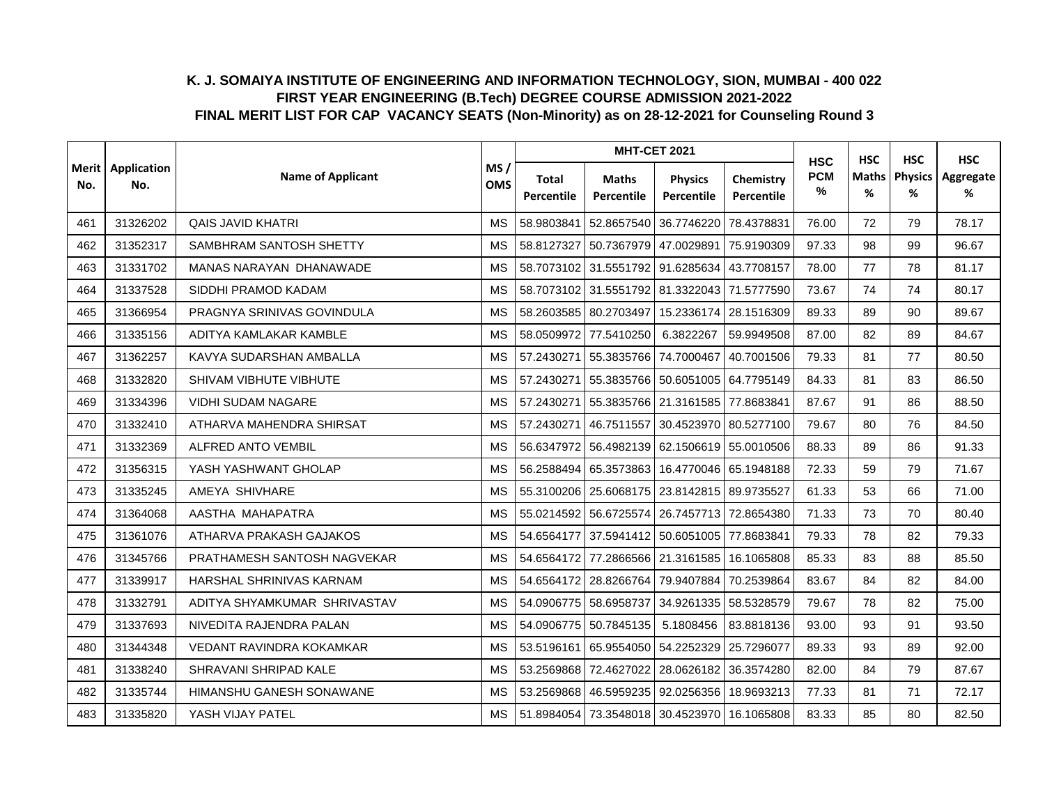|                |                    |                                |                   |                     |                            | <b>MHT-CET 2021</b>                         |                         | <b>HSC</b>         | <b>HSC</b>        | <b>HSC</b>                | <b>HSC</b>     |
|----------------|--------------------|--------------------------------|-------------------|---------------------|----------------------------|---------------------------------------------|-------------------------|--------------------|-------------------|---------------------------|----------------|
| Merit l<br>No. | Application<br>No. | <b>Name of Applicant</b>       | MS/<br><b>OMS</b> | Total<br>Percentile | <b>Maths</b><br>Percentile | <b>Physics</b><br>Percentile                | Chemistry<br>Percentile | <b>PCM</b><br>$\%$ | <b>Maths</b><br>% | <b>Physics</b><br>%<br>79 | Aggregate<br>% |
| 461            | 31326202           | <b>QAIS JAVID KHATRI</b>       | <b>MS</b>         | 58.9803841          | 52.8657540                 | 36.7746220                                  | 78.4378831              | 76.00              | 72                |                           | 78.17          |
| 462            | 31352317           | SAMBHRAM SANTOSH SHETTY        | <b>MS</b>         | 58.8127327          | 50.7367979                 | 47.0029891                                  | 75.9190309              | 97.33              | 98                | 99                        | 96.67          |
| 463            | 31331702           | <b>MANAS NARAYAN DHANAWADE</b> | <b>MS</b>         | 58.7073102          | 31.5551792                 | 91.6285634                                  | 43.7708157              | 78.00              | 77                | 78                        | 81.17          |
| 464            | 31337528           | SIDDHI PRAMOD KADAM            | <b>MS</b>         |                     |                            | 58.7073102 31.5551792 81.3322043 71.5777590 |                         | 73.67              | 74                | 74                        | 80.17          |
| 465            | 31366954           | PRAGNYA SRINIVAS GOVINDULA     | MS                |                     | 58.2603585 80.2703497      | 15.2336174 28.1516309                       |                         | 89.33              | 89                | 90                        | 89.67          |
| 466            | 31335156           | ADITYA KAMLAKAR KAMBLE         | <b>MS</b>         | 58.0509972          | 77.5410250                 | 6.3822267                                   | 59.9949508              | 87.00              | 82                | 89                        | 84.67          |
| 467            | 31362257           | KAVYA SUDARSHAN AMBALLA        | <b>MS</b>         | 57.2430271          | 55.3835766                 | 74.7000467                                  | 40.7001506              | 79.33              | 81                | 77                        | 80.50          |
| 468            | 31332820           | SHIVAM VIBHUTE VIBHUTE         | <b>MS</b>         | 57.2430271          | 55.3835766                 | 50.6051005 64.7795149                       |                         | 84.33              | 81                | 83                        | 86.50          |
| 469            | 31334396           | VIDHI SUDAM NAGARE             | <b>MS</b>         | 57.2430271          |                            | 55.3835766 21.3161585 77.8683841            |                         | 87.67              | 91                | 86                        | 88.50          |
| 470            | 31332410           | ATHARVA MAHENDRA SHIRSAT       | <b>MS</b>         | 57.2430271          | 46.7511557                 | 30.4523970 80.5277100                       |                         | 79.67              | 80                | 76                        | 84.50          |
| 471            | 31332369           | ALFRED ANTO VEMBIL             | MS                | 56.6347972          |                            | 56.4982139 62.1506619 55.0010506            |                         | 88.33              | 89                | 86                        | 91.33          |
| 472            | 31356315           | YASH YASHWANT GHOLAP           | <b>MS</b>         | 56.2588494          |                            | 65.3573863 16.4770046 65.1948188            |                         | 72.33              | 59                | 79                        | 71.67          |
| 473            | 31335245           | AMEYA SHIVHARE                 | <b>MS</b>         | 55.3100206          | 25.6068175                 | 23.8142815 89.9735527                       |                         | 61.33              | 53                | 66                        | 71.00          |
| 474            | 31364068           | AASTHA MAHAPATRA               | <b>MS</b>         | 55.0214592          | 56.6725574                 | 26.7457713 72.8654380                       |                         | 71.33              | 73                | 70                        | 80.40          |
| 475            | 31361076           | ATHARVA PRAKASH GAJAKOS        | <b>MS</b>         | 54.6564177          | 37.5941412                 | 50.6051005 77.8683841                       |                         | 79.33              | 78                | 82                        | 79.33          |
| 476            | 31345766           | PRATHAMESH SANTOSH NAGVEKAR    | <b>MS</b>         | 54.6564172          |                            | 77.2866566 21.3161585 16.1065808            |                         | 85.33              | 83                | 88                        | 85.50          |
| 477            | 31339917           | HARSHAL SHRINIVAS KARNAM       | <b>MS</b>         | 54.6564172          | 28.8266764                 | 79.9407884 70.2539864                       |                         | 83.67              | 84                | 82                        | 84.00          |
| 478            | 31332791           | ADITYA SHYAMKUMAR SHRIVASTAV   | <b>MS</b>         |                     | 54.0906775 58.6958737      | 34.9261335 58.5328579                       |                         | 79.67              | 78                | 82                        | 75.00          |
| 479            | 31337693           | NIVEDITA RAJENDRA PALAN        | MS                | 54.0906775          | 50.7845135                 | 5.1808456                                   | 83.8818136              | 93.00              | 93                | 91                        | 93.50          |
| 480            | 31344348           | VEDANT RAVINDRA KOKAMKAR       | <b>MS</b>         | 53.5196161          | 65.9554050                 | 54.2252329 25.7296077                       |                         | 89.33              | 93                | 89                        | 92.00          |
| 481            | 31338240           | SHRAVANI SHRIPAD KALE          | MS                | 53.2569868          | 72.4627022                 | 28.0626182                                  | 36.3574280              | 82.00              | 84                | 79                        | 87.67          |
| 482            | 31335744           | HIMANSHU GANESH SONAWANE       | <b>MS</b>         | 53.2569868          | 46.5959235                 | 92.0256356                                  | 18.9693213              | 77.33              | 81                | 71                        | 72.17          |
| 483            | 31335820           | YASH VIJAY PATEL               | <b>MS</b>         | 51.8984054          |                            | 73.3548018 30.4523970 16.1065808            |                         | 83.33              | 85                | 80                        | 82.50          |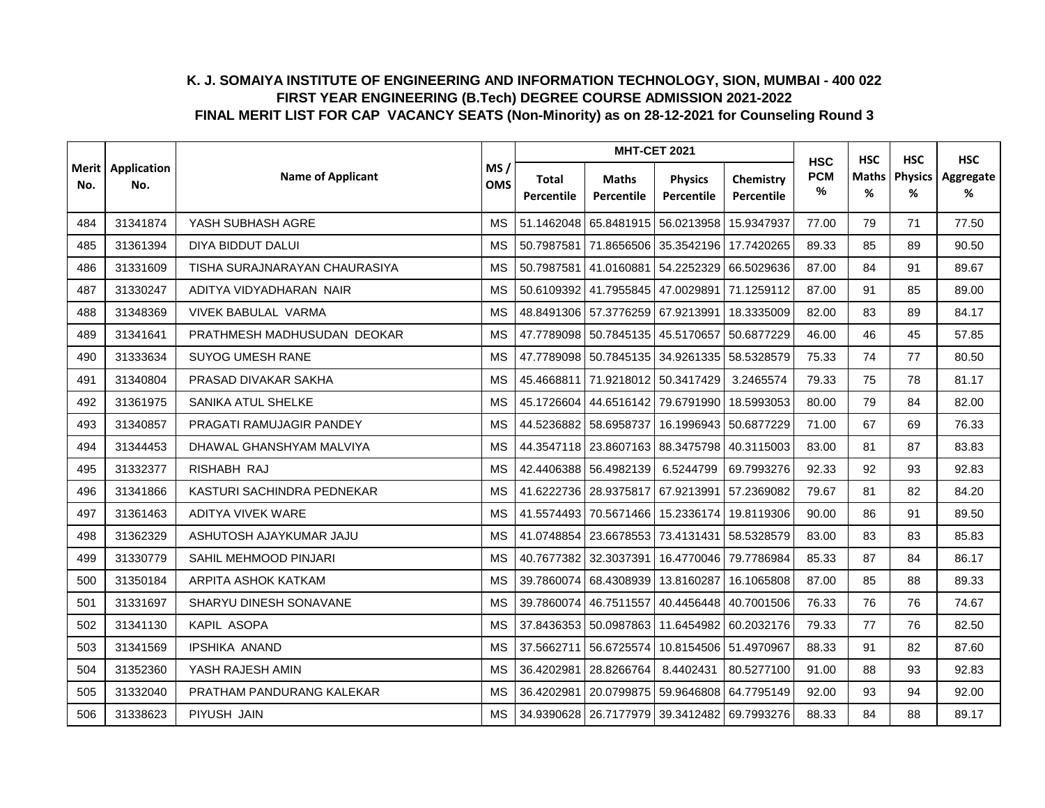|     | <b>Merit</b> Application |                               |                   |                            |                                  | <b>MHT-CET 2021</b>                         |                         | <b>HSC</b>      | <b>HSC</b>        | <b>HSC</b>          | <b>HSC</b>     |
|-----|--------------------------|-------------------------------|-------------------|----------------------------|----------------------------------|---------------------------------------------|-------------------------|-----------------|-------------------|---------------------|----------------|
| No. | No.                      | <b>Name of Applicant</b>      | MS/<br><b>OMS</b> | <b>Total</b><br>Percentile | <b>Maths</b><br>Percentile       | <b>Physics</b><br>Percentile                | Chemistry<br>Percentile | <b>PCM</b><br>% | <b>Maths</b><br>% | <b>Physics</b><br>% | Aggregate<br>% |
| 484 | 31341874                 | YASH SUBHASH AGRE             | <b>MS</b>         | 51.1462048                 | 65.8481915                       | 56.0213958                                  | 15.9347937              | 77.00           | 79                | 71                  | 77.50          |
| 485 | 31361394                 | DIYA BIDDUT DALUI             | <b>MS</b>         | 50.7987581                 | 71.8656506                       | 35.3542196 17.7420265                       |                         | 89.33           | 85                | 89                  | 90.50          |
| 486 | 31331609                 | TISHA SURAJNARAYAN CHAURASIYA | <b>MS</b>         | 50.7987581                 | 41.0160881                       | 54.2252329                                  | 66.5029636              | 87.00           | 84                | 91                  | 89.67          |
| 487 | 31330247                 | ADITYA VIDYADHARAN NAIR       | <b>MS</b>         |                            | 50.6109392 41.7955845 47.0029891 |                                             | 71.1259112              | 87.00           | 91                | 85                  | 89.00          |
| 488 | 31348369                 | <b>VIVEK BABULAL VARMA</b>    | <b>MS</b>         |                            |                                  | 48.8491306 57.3776259 67.9213991 18.3335009 |                         | 82.00           | 83                | 89                  | 84.17          |
| 489 | 31341641                 | PRATHMESH MADHUSUDAN DEOKAR   | <b>MS</b>         | 47.7789098                 |                                  | 50.7845135 45.5170657 50.6877229            |                         | 46.00           | 46                | 45                  | 57.85          |
| 490 | 31333634                 | <b>SUYOG UMESH RANE</b>       | <b>MS</b>         | 47.7789098                 |                                  | 50.7845135 34.9261335 58.5328579            |                         | 75.33           | 74                | 77                  | 80.50          |
| 491 | 31340804                 | PRASAD DIVAKAR SAKHA          | <b>MS</b>         | 45.4668811                 |                                  | 71.9218012 50.3417429                       | 3.2465574               | 79.33           | 75                | 78                  | 81.17          |
| 492 | 31361975                 | SANIKA ATUL SHELKE            | <b>MS</b>         | 45.1726604                 |                                  | 44.6516142 79.6791990                       | 18.5993053              | 80.00           | 79                | 84                  | 82.00          |
| 493 | 31340857                 | PRAGATI RAMUJAGIR PANDEY      | <b>MS</b>         | 44.5236882                 | 58.6958737                       |                                             | 16.1996943 50.6877229   | 71.00           | 67                | 69                  | 76.33          |
| 494 | 31344453                 | DHAWAL GHANSHYAM MALVIYA      | MS                |                            |                                  | 44.3547118 23.8607163 88.3475798 40.3115003 |                         | 83.00           | 81                | 87                  | 83.83          |
| 495 | 31332377                 | RISHABH RAJ                   | <b>MS</b>         | 42.4406388                 | 56.4982139                       | 6.5244799                                   | 69.7993276              | 92.33           | 92                | 93                  | 92.83          |
| 496 | 31341866                 | KASTURI SACHINDRA PEDNEKAR    | <b>MS</b>         | 41.6222736                 | 28.9375817                       | 67.9213991                                  | 57.2369082              | 79.67           | 81                | 82                  | 84.20          |
| 497 | 31361463                 | <b>ADITYA VIVEK WARE</b>      | <b>MS</b>         | 41.5574493                 | 70.5671466                       |                                             | 15.2336174 19.8119306   | 90.00           | 86                | 91                  | 89.50          |
| 498 | 31362329                 | ASHUTOSH AJAYKUMAR JAJU       | <b>MS</b>         | 41.0748854                 |                                  | 23.6678553 73.4131431 58.5328579            |                         | 83.00           | 83                | 83                  | 85.83          |
| 499 | 31330779                 | SAHIL MEHMOOD PINJARI         | <b>MS</b>         | 40.7677382                 | 32.3037391                       |                                             | 16.4770046 79.7786984   | 85.33           | 87                | 84                  | 86.17          |
| 500 | 31350184                 | ARPITA ASHOK KATKAM           | <b>MS</b>         | 39.7860074                 | 68.4308939                       |                                             | 13.8160287 16.1065808   | 87.00           | 85                | 88                  | 89.33          |
| 501 | 31331697                 | SHARYU DINESH SONAVANE        | <b>MS</b>         | 39.7860074                 |                                  | 46.7511557 40.4456448 40.7001506            |                         | 76.33           | 76                | 76                  | 74.67          |
| 502 | 31341130                 | KAPIL ASOPA                   | <b>MS</b>         | 37.8436353                 | 50.0987863                       |                                             | 11.6454982 60.2032176   | 79.33           | 77                | 76                  | 82.50          |
| 503 | 31341569                 | <b>IPSHIKA ANAND</b>          | <b>MS</b>         | 37.5662711                 | 56.6725574                       |                                             | 10.8154506 51.4970967   | 88.33           | 91                | 82                  | 87.60          |
| 504 | 31352360                 | YASH RAJESH AMIN              | <b>MS</b>         | 36.4202981                 | 28.8266764                       | 8.4402431                                   | 80.5277100              | 91.00           | 88                | 93                  | 92.83          |
| 505 | 31332040                 | PRATHAM PANDURANG KALEKAR     | <b>MS</b>         | 36.4202981                 | 20.0799875                       |                                             | 59.9646808 64.7795149   | 92.00           | 93                | 94                  | 92.00          |
| 506 | 31338623                 | PIYUSH JAIN                   | <b>MS</b>         |                            |                                  | 34.9390628 26.7177979 39.3412482 69.7993276 |                         | 88.33           | 84                | 88                  | 89.17          |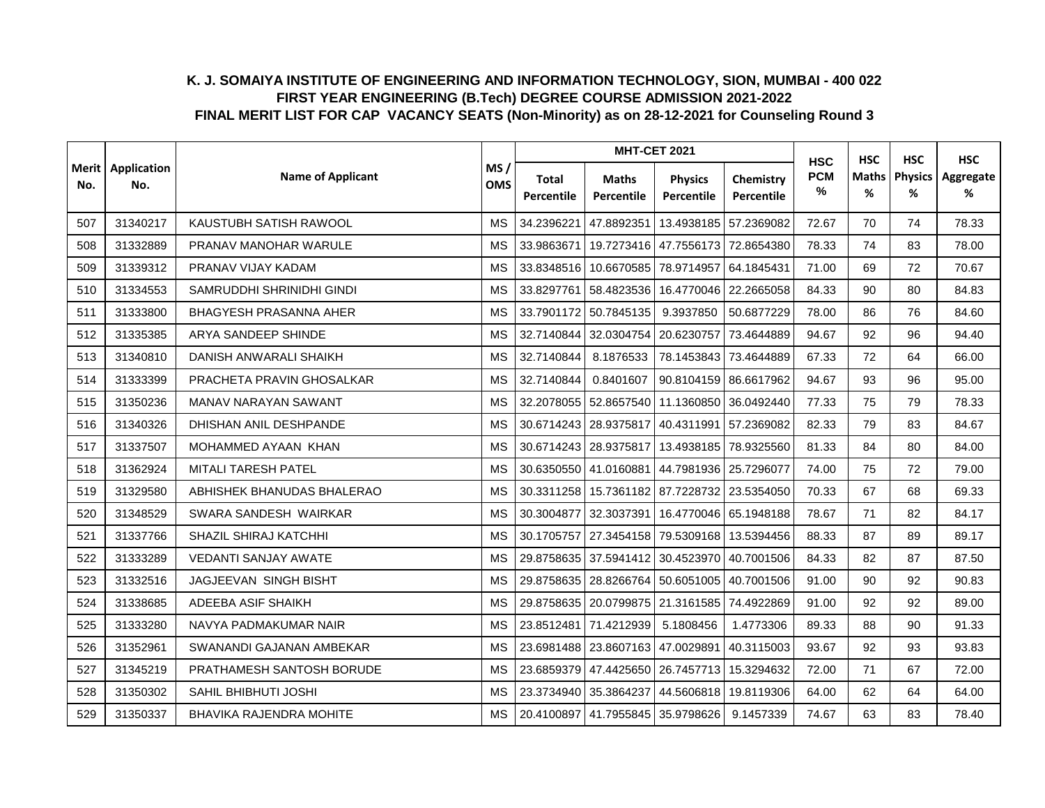|                |                    |                               |                   |                     |                            | <b>MHT-CET 2021</b>                         |                         | <b>HSC</b>      | <b>HSC</b> | <b>HSC</b>          | <b>HSC</b>     |
|----------------|--------------------|-------------------------------|-------------------|---------------------|----------------------------|---------------------------------------------|-------------------------|-----------------|------------|---------------------|----------------|
| Merit l<br>No. | Application<br>No. | <b>Name of Applicant</b>      | MS/<br><b>OMS</b> | Total<br>Percentile | <b>Maths</b><br>Percentile | <b>Physics</b><br>Percentile                | Chemistry<br>Percentile | <b>PCM</b><br>% | Maths<br>% | <b>Physics</b><br>% | Aggregate<br>% |
| 507            | 31340217           | KAUSTUBH SATISH RAWOOL        | <b>MS</b>         | 34.2396221          | 47.8892351                 |                                             | 13.4938185 57.2369082   | 72.67           | 70         | 74                  | 78.33          |
| 508            | 31332889           | PRANAV MANOHAR WARULE         | <b>MS</b>         | 33.9863671          | 19.7273416                 | 47.7556173 72.8654380                       |                         | 78.33           | 74         | 83                  | 78.00          |
| 509            | 31339312           | PRANAV VIJAY KADAM            | <b>MS</b>         | 33.8348516          | 10.6670585                 | 78.9714957                                  | 64.1845431              | 71.00           | 69         | 72                  | 70.67          |
| 510            | 31334553           | SAMRUDDHI SHRINIDHI GINDI     | <b>MS</b>         | 33.8297761          | 58.4823536                 |                                             | 16.4770046 22.2665058   | 84.33           | 90         | 80                  | 84.83          |
| 511            | 31333800           | <b>BHAGYESH PRASANNA AHER</b> | <b>MS</b>         | 33.7901172          | 50.7845135                 | 9.3937850                                   | 50.6877229              | 78.00           | 86         | 76                  | 84.60          |
| 512            | 31335385           | ARYA SANDEEP SHINDE           | <b>MS</b>         | 32.7140844          | 32.0304754                 | 20.6230757 73.4644889                       |                         | 94.67           | 92         | 96                  | 94.40          |
| 513            | 31340810           | DANISH ANWARALI SHAIKH        | <b>MS</b>         | 32.7140844          | 8.1876533                  | 78.1453843                                  | 73.4644889              | 67.33           | 72         | 64                  | 66.00          |
| 514            | 31333399           | PRACHETA PRAVIN GHOSALKAR     | <b>MS</b>         | 32.7140844          | 0.8401607                  |                                             | 90.8104159 86.6617962   | 94.67           | 93         | 96                  | 95.00          |
| 515            | 31350236           | MANAV NARAYAN SAWANT          | <b>MS</b>         | 32.2078055          | 52.8657540                 |                                             | 11.1360850 36.0492440   | 77.33           | 75         | 79                  | 78.33          |
| 516            | 31340326           | DHISHAN ANIL DESHPANDE        | <b>MS</b>         |                     | 30.6714243 28.9375817      | 40.4311991 57.2369082                       |                         | 82.33           | 79         | 83                  | 84.67          |
| 517            | 31337507           | MOHAMMED AYAAN KHAN           | <b>MS</b>         |                     | 30.6714243 28.9375817      | 13.4938185 78.9325560                       |                         | 81.33           | 84         | 80                  | 84.00          |
| 518            | 31362924           | MITALI TARESH PATEL           | MS                |                     |                            | 30.6350550 41.0160881 44.7981936 25.7296077 |                         | 74.00           | 75         | 72                  | 79.00          |
| 519            | 31329580           | ABHISHEK BHANUDAS BHALERAO    | <b>MS</b>         | 30.3311258          | 15.7361182                 | 87.7228732 23.5354050                       |                         | 70.33           | 67         | 68                  | 69.33          |
| 520            | 31348529           | SWARA SANDESH WAIRKAR         | <b>MS</b>         | 30.3004877          | 32.3037391                 |                                             | 16.4770046 65.1948188   | 78.67           | 71         | 82                  | 84.17          |
| 521            | 31337766           | SHAZIL SHIRAJ KATCHHI         | <b>MS</b>         | 30.1705757          | 27.3454158                 | 79.5309168                                  | 13.5394456              | 88.33           | 87         | 89                  | 89.17          |
| 522            | 31333289           | <b>VEDANTI SANJAY AWATE</b>   | <b>MS</b>         | 29.8758635          | 37.5941412                 |                                             | 30.4523970 40.7001506   | 84.33           | 82         | 87                  | 87.50          |
| 523            | 31332516           | JAGJEEVAN SINGH BISHT         | <b>MS</b>         | 29.8758635          |                            | 28.8266764 50.6051005 40.7001506            |                         | 91.00           | 90         | 92                  | 90.83          |
| 524            | 31338685           | ADEEBA ASIF SHAIKH            | <b>MS</b>         | 29.8758635          |                            | 20.0799875 21.3161585 74.4922869            |                         | 91.00           | 92         | 92                  | 89.00          |
| 525            | 31333280           | NAVYA PADMAKUMAR NAIR         | MS                | 23.8512481          | 71.4212939                 | 5.1808456                                   | 1.4773306               | 89.33           | 88         | 90                  | 91.33          |
| 526            | 31352961           | SWANANDI GAJANAN AMBEKAR      | <b>MS</b>         | 23.6981488          | 23.8607163                 |                                             | 47.0029891 40.3115003   | 93.67           | 92         | 93                  | 93.83          |
| 527            | 31345219           | PRATHAMESH SANTOSH BORUDE     | <b>MS</b>         | 23.6859379          | 47.4425650                 | 26.7457713                                  | 15.3294632              | 72.00           | 71         | 67                  | 72.00          |
| 528            | 31350302           | SAHIL BHIBHUTI JOSHI          | <b>MS</b>         | 23.3734940          | 35.3864237                 | 44.5606818                                  | 19.8119306              | 64.00           | 62         | 64                  | 64.00          |
| 529            | 31350337           | BHAVIKA RAJENDRA MOHITE       | <b>MS</b>         | 20.4100897          |                            | 41.7955845 35.9798626                       | 9.1457339               | 74.67           | 63         | 83                  | 78.40          |